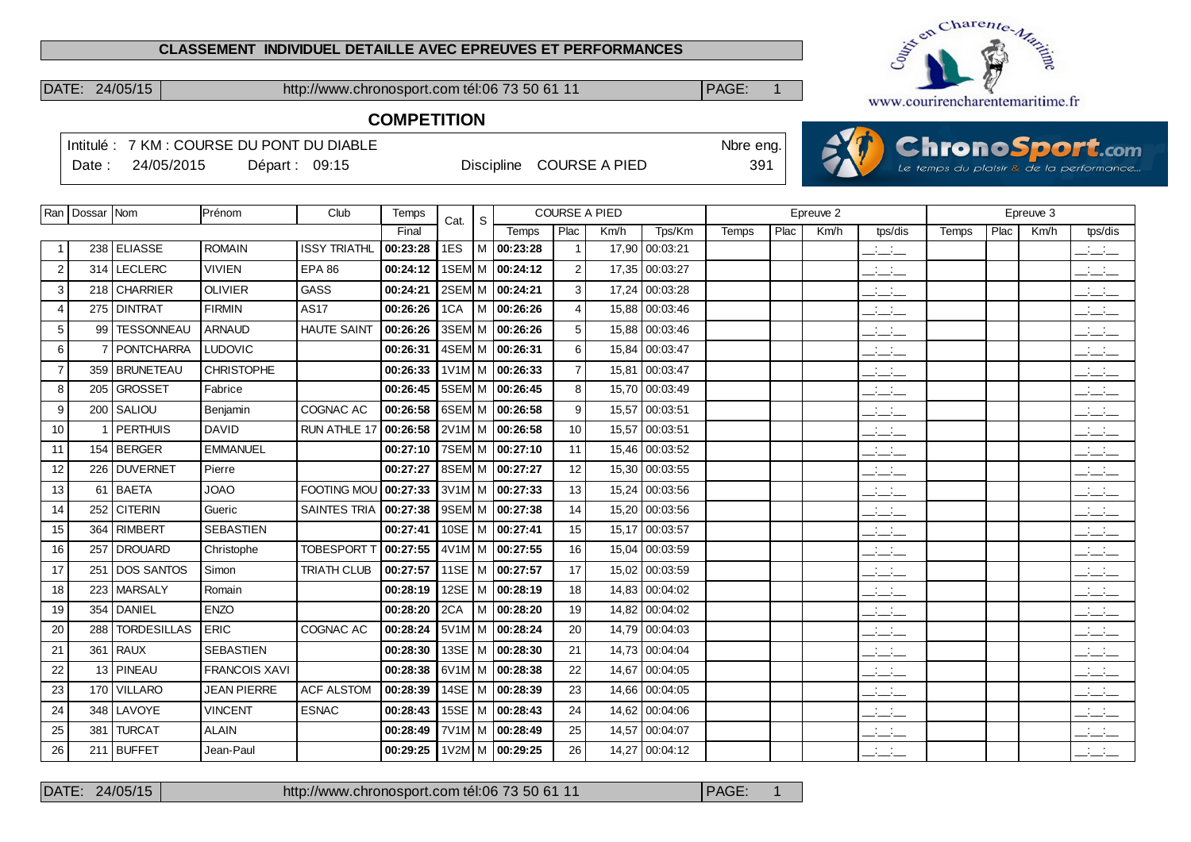#### **CLASSEMENT INDIVIDUEL DETAILLE AVEC EPREUVES ET PERFORMANCES**

DATE: 24/05/15 http://www.chronosport.com tél:06 73 50 61 11 PAGE: 1



**COMPETITION**

|                | Date:              | 24/05/2015         | Intitulé: 7 KM : COURSE DU PONT DU DIABLE | Départ: 09:15       |                                |            |   | <b>Discipline</b> |                | <b>COURSE A PIED</b> |                | Nbre eng.<br>391 |      |           |                                 |       |      |           | <b>ChronoSport.com</b><br>Le temps du plaisir & de la performance |
|----------------|--------------------|--------------------|-------------------------------------------|---------------------|--------------------------------|------------|---|-------------------|----------------|----------------------|----------------|------------------|------|-----------|---------------------------------|-------|------|-----------|-------------------------------------------------------------------|
|                | Ran   Dossar   Nom |                    | Prénom                                    | Club                | Temps                          |            |   |                   |                | <b>COURSE A PIED</b> |                |                  |      | Epreuve 2 |                                 |       |      | Epreuve 3 |                                                                   |
|                |                    |                    |                                           |                     | Final                          | Cat.       | S | Temps             | Plac           | Km/h                 | Tps/Km         | Temps            | Plac | Km/h      | tps/dis                         | Temps | Plac | Km/h      | tps/dis                                                           |
|                |                    | 238 ELIASSE        | <b>ROMAIN</b>                             | <b>ISSY TRIATHL</b> | 00:23:28                       | 1ES        | M | 00:23:28          | $\overline{1}$ | 17,90                | 00:03:21       |                  |      |           | $\mathbb{R}$ and $\mathbb{R}$   |       |      |           | $\overline{\phantom{a}}$                                          |
| $\overline{2}$ |                    | 314 LECLERC        | VIVIEN                                    | <b>EPA 86</b>       | 00:24:12                       | 1SEM M     |   | 00:24:12          | $\overline{c}$ | 17,35                | 00:03:27       |                  |      |           | $\frac{1}{2}$                   |       |      |           | $\frac{1}{2}$                                                     |
| 3              | 218                | <b>CHARRIER</b>    | <b>OLIVIER</b>                            | <b>GASS</b>         | 00:24:21                       | 2SEM M     |   | 00:24:21          | 3              | 17,24                | 00:03:28       |                  |      |           | للأسائد                         |       |      |           | $\frac{1}{2}$                                                     |
| $\overline{4}$ |                    | 275   DINTRAT      | <b>FIRMIN</b>                             | AS17                | 00:26:26                       | 1CA        | м | 00:26:26          | 4              | 15,88                | 00:03:46       |                  |      |           | $\mathbb{R}$ and $\mathbb{R}$   |       |      |           | $\frac{1}{2}$                                                     |
| 5              |                    | 99   TESSONNEAU    | <b>ARNAUD</b>                             | <b>HAUTE SAINT</b>  | 00:26:26                       | 3SEM M     |   | 00:26:26          | 5              | 15,88                | 00:03:46       |                  |      |           | $\frac{1}{2}$ and $\frac{1}{2}$ |       |      |           | $\mathbb{R}$ and $\mathbb{R}$                                     |
| 6              |                    | <b>PONTCHARRA</b>  | <b>LUDOVIC</b>                            |                     | 00:26:31                       | 4SEM M     |   | 00:26:31          | 6              | 15,84                | 00:03:47       |                  |      |           | $\overline{a}$                  |       |      |           | $\frac{1}{2}$                                                     |
| $\overline{7}$ |                    | 359 BRUNETEAU      | <b>CHRISTOPHE</b>                         |                     | 00:26:33                       | 1V1M M     |   | 00:26:33          | $\overline{7}$ | 15,81                | 00:03:47       |                  |      |           | $\frac{1}{2}$                   |       |      |           | $\frac{1}{2}$ and $\frac{1}{2}$                                   |
| 8              | 205                | <b>GROSSET</b>     | Fabrice                                   |                     | 00:26:45                       | 5SEM M     |   | 00:26:45          | 8              | 15,70                | 00:03:49       |                  |      |           | $\overline{a}$                  |       |      |           | $\frac{1}{2}$                                                     |
| 9              | 200                | l SALIOU           | Benjamin                                  | COGNAC AC           | 00:26:58                       | 6SEM M     |   | 00:26:58          | 9              | 15,57                | 00:03:51       |                  |      |           | $\frac{1}{2}$ and $\frac{1}{2}$ |       |      |           | $\mathbb{R}$ and $\mathbb{R}$                                     |
| 10             |                    | 1 PERTHUIS         | <b>DAVID</b>                              | RUN ATHLE 17        | 00:26:58                       | $2V1M$ M   |   | 00:26:58          | $10$           | 15,57                | 00:03:51       |                  |      |           | $\overline{\phantom{a}}$        |       |      |           | $\mathcal{L} = \mathcal{L}$                                       |
| 11             |                    | 154 BERGER         | <b>EMMANUEL</b>                           |                     | 00:27:10                       | 7SEM M     |   | 00:27:10          | 11             | 15.46                | 00:03:52       |                  |      |           | $\frac{1}{2}$                   |       |      |           | $\frac{1}{2}$                                                     |
| 12             |                    | 226 DUVERNET       | Pierre                                    |                     | 00:27:27                       | 8SEM M     |   | 00:27:27          | 12             | 15,30                | 00:03:55       |                  |      |           | $\frac{1}{2}$                   |       |      |           | $\mathbb{R}$ and $\mathbb{R}$                                     |
| 13             |                    | 61 BAETA           | <b>OAOL</b>                               | FOOTING MOU         | 00:27:33                       | $3V1M$ M   |   | 00:27:33          | 13             | 15,24                | 00:03:56       |                  |      |           | $\overline{a}$                  |       |      |           | للأسائد                                                           |
| 14             | 252                | <b>CITERIN</b>     | Gueric                                    | <b>SAINTES TRIA</b> | 00:27:38                       | 9SEM M     |   | 00:27:38          | 14             | 15,20                | 00:03:56       |                  |      |           | $\frac{1}{2}$ and $\frac{1}{2}$ |       |      |           | $\frac{1}{2}$                                                     |
| 15             |                    | 364   RIMBERT      | <b>SEBASTIEN</b>                          |                     | 00:27:41                       | $10SE$   M |   | 00:27:41          | 15             | 15,17                | 00:03:57       |                  |      |           | $\frac{1}{2}$                   |       |      |           | $\frac{1}{2}$                                                     |
| 16             | 257                | <b>DROUARD</b>     | Christophe                                | <b>TOBESPORT T</b>  | 00:27:55                       | $4V1M$ M   |   | 00:27:55          | 16             | 15.04                | 00:03:59       |                  |      |           | للأسائد                         |       |      |           | للأسائد                                                           |
| 17             |                    | 251 DOS SANTOS     | Simon                                     | <b>TRIATH CLUB</b>  | 00:27:57                       | 11SE       | м | 00:27:57          | 17             | 15,02                | 00:03:59       |                  |      |           | للمستح                          |       |      |           | $\frac{1}{2}$                                                     |
| 18             |                    | 223   MARSALY      | Romain                                    |                     | 00:28:19                       | 12SE       | М | 00:28:19          | 18             | 14,83                | 00:04:02       |                  |      |           | $\frac{1}{2}$ and $\frac{1}{2}$ |       |      |           | $\frac{1}{2}$ and $\frac{1}{2}$                                   |
| 19             | 354                | <b>DANIEL</b>      | ENZO                                      |                     | 00:28:20                       | 2CA        | M | 00:28:20          | 19             | 14,82                | 00:04:02       |                  |      |           | للمناب                          |       |      |           | $\mathbb{R}$ and $\mathbb{R}$                                     |
| 20             | 288                | <b>TORDESILLAS</b> | <b>ERIC</b>                               | COGNAC AC           | 00:28:24                       | 5V1M M     |   | 00:28:24          | 20             | 14,79                | 00:04:03       |                  |      |           | $\frac{1}{2}$ and $\frac{1}{2}$ |       |      |           | للأسائل                                                           |
| 21             | 361                | <b>RAUX</b>        | <b>SEBASTIEN</b>                          |                     | 00:28:30                       | 13SE       | м | 00:28:30          | 21             | 14,73                | 00:04:04       |                  |      |           | سأنسأ                           |       |      |           | $\frac{1}{2}$ $\frac{1}{2}$ $\frac{1}{2}$                         |
| 22             |                    | 13 PINEAU          | <b>FRANCOIS XAVI</b>                      |                     | 00:28:38                       | 6V1M M     |   | 00:28:38          | 22             | 14,67                | 00:04:05       |                  |      |           | للمستد                          |       |      |           | $\frac{1}{2}$                                                     |
| 23             |                    | 170 VILLARO        | <b>JEAN PIERRE</b>                        | <b>ACF ALSTOM</b>   | 00:28:39                       | 14SE $ M$  |   | 00:28:39          | 23             | 14,66                | 00:04:05       |                  |      |           | $\frac{1}{2}$ and $\frac{1}{2}$ |       |      |           | $\sim$ 100 $\sim$<br>$  -$                                        |
| 24             | 348                | LAVOYE             | <b>VINCENT</b>                            | <b>ESNAC</b>        | 00:28:43                       | 15SE       | M | 00:28:43          | 24             | 14,62                | 00:04:06       |                  |      |           | $\frac{1}{2}$ and $\frac{1}{2}$ |       |      |           | للأسائل                                                           |
| 25             |                    | 381   TURCAT       | <b>ALAIN</b>                              |                     | 00:28:49                       | 7V1M M     |   | 00:28:49          | 25             | 14,57                | 00:04:07       |                  |      |           | $\frac{1}{2}$                   |       |      |           | $\overline{\phantom{a}}$                                          |
| 26             |                    | 211 BUFFET         | Jean-Paul                                 |                     | 00:29:25   1V2M   M   00:29:25 |            |   |                   | 26             |                      | 14,27 00:04:12 |                  |      |           | <b>All Card</b>                 |       |      |           | $\mathbf{r} = \mathbf{r} \times \mathbf{r}$                       |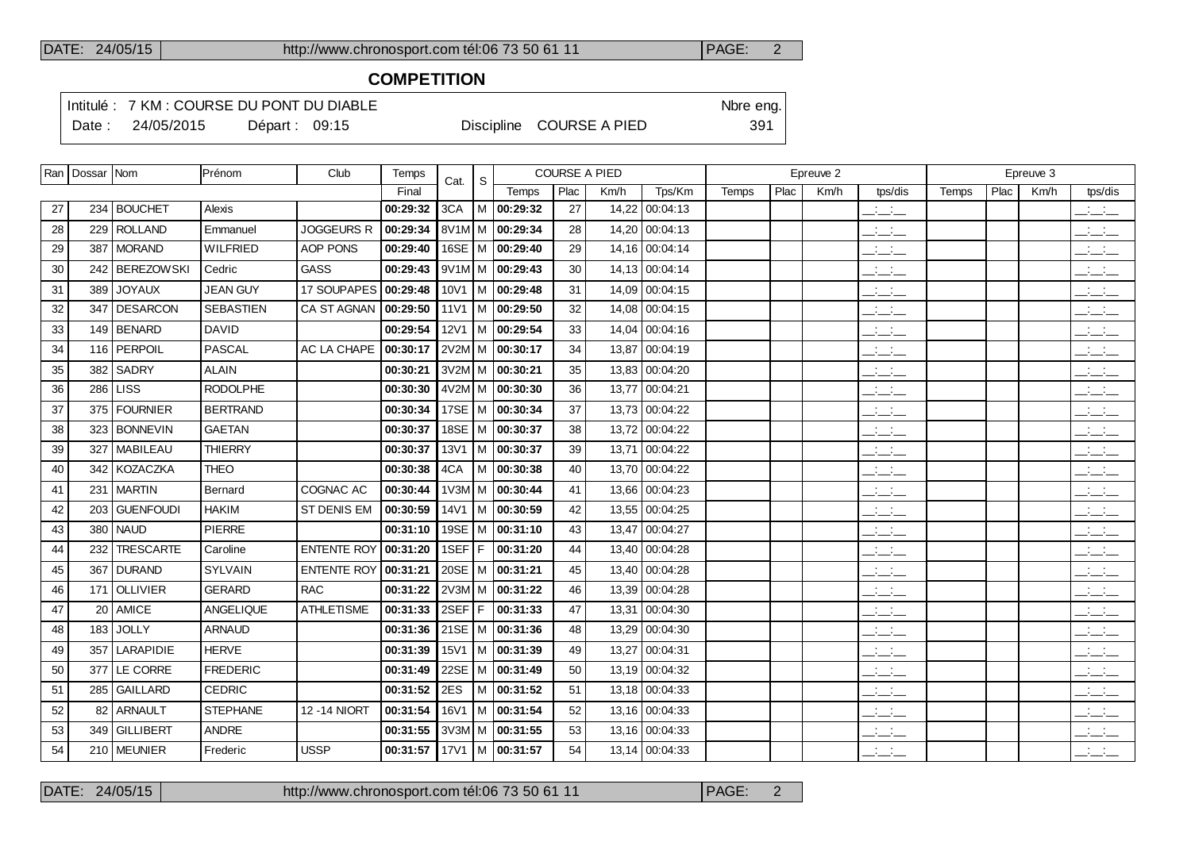# **COMPETITION**

Intitulé : 7 KM : COURSE DU PONT DU DIABLE Note that the state of the SN of the eng.

Date : 24/05/2015 Départ : 09:15 Discipline COURSE A PIED 391

|    | Ran   Dossar   Nom |                  | Prénom           | Club               | Temps    | Cat. | S                 |                              | <b>COURSE A PIED</b> |       |                |       |      | Epreuve 2 |                                 |       |      | Epreuve 3 |                                                     |
|----|--------------------|------------------|------------------|--------------------|----------|------|-------------------|------------------------------|----------------------|-------|----------------|-------|------|-----------|---------------------------------|-------|------|-----------|-----------------------------------------------------|
|    |                    |                  |                  |                    | Final    |      |                   | Temps                        | Plac                 | Km/h  | Tps/Km         | Temps | Plac | Km/h      | tps/dis                         | Temps | Plac | Km/h      | tps/dis                                             |
| 27 |                    | 234 BOUCHET      | Alexis           |                    | 00:29:32 | 3CA  |                   | M 00:29:32                   | 27                   | 14,22 | 00:04:13       |       |      |           | $\frac{1}{2}$ and $\frac{1}{2}$ |       |      |           | $\frac{1}{2}$                                       |
| 28 |                    | 229 ROLLAND      | Emmanuel         | <b>JOGGEURS R</b>  | 00:29:34 |      |                   | 8V <sub>1</sub> M M 00:29:34 | 28                   |       | 14,20 00:04:13 |       |      |           | $\mathbb{R}^2$                  |       |      |           | $\frac{1}{2}$                                       |
| 29 | 387                | <b>MORAND</b>    | <b>WILFRIED</b>  | AOP PONS           | 00:29:40 | 16SE |                   | M 00:29:40                   | 29                   |       | 14,16 00:04:14 |       |      |           | $\overline{\phantom{a}}$        |       |      |           | $\mathbb{R}$ and $\mathbb{R}$                       |
| 30 |                    | 242   BEREZOWSKI | Cedric           | GASS               | 00:29:43 |      |                   | 9V1M M 00:29:43              | 30                   |       | 14,13 00:04:14 |       |      |           | $\mathcal{L} = \mathcal{L}$     |       |      |           | $\overline{\phantom{a}}$                            |
| 31 | 389                | <b>JOYAUX</b>    | <b>JEAN GUY</b>  | 17 SOUPAPES        | 00:29:48 |      |                   | $10V1$ M $\sqrt{00:29:48}$   | 31                   |       | 14,09 00:04:15 |       |      |           | $\mathbb{R}^2$                  |       |      |           | للأسائل                                             |
| 32 | 347                | <b>DESARCON</b>  | <b>SEBASTIEN</b> | CA ST AGNAN        | 00:29:50 |      |                   | 11V1   M $ $ 00:29:50        | 32                   |       | 14,08 00:04:15 |       |      |           | $ -$                            |       |      |           | $\frac{1}{2}$ and $\frac{1}{2}$                     |
| 33 |                    | 149 BENARD       | <b>DAVID</b>     |                    | 00:29:54 | 12V1 |                   | M 00:29:54                   | 33                   |       | 14,04 00:04:16 |       |      |           | $\overline{a}$                  |       |      |           | للأسائل                                             |
| 34 |                    | 116   PERPOIL    | <b>PASCAL</b>    | AC LA CHAPE        | 00:30:17 |      |                   | 2V2M M 00:30:17              | 34                   |       | 13,87 00:04:19 |       |      |           | للمناصب                         |       |      |           | $\overline{a}$                                      |
| 35 | 382                | <b>SADRY</b>     | <b>ALAIN</b>     |                    | 00:30:21 |      |                   | 3V2M M 00:30:21              | 35                   |       | 13,83 00:04:20 |       |      |           | $\overline{\phantom{a}}$        |       |      |           | $\overline{\phantom{a}}$                            |
| 36 | 286                | <b>LISS</b>      | <b>RODOLPHE</b>  |                    | 00:30:30 |      |                   | $4V2M$ M   00:30:30          | 36                   |       | 13,77 00:04:21 |       |      |           | $ -$                            |       |      |           | للأسائل                                             |
| 37 | 375                | <b>FOURNIER</b>  | <b>BERTRAND</b>  |                    | 00:30:34 | 17SE | M                 | 00:30:34                     | 37                   |       | 13,73 00:04:22 |       |      |           | $\frac{1}{2}$                   |       |      |           | $\overline{\phantom{a}}$                            |
| 38 | 323                | <b>BONNEVIN</b>  | <b>GAETAN</b>    |                    | 00:30:37 | 18SE | l M               | 00:30:37                     | 38                   |       | 13,72 00:04:22 |       |      |           | $\mathcal{L} = \mathcal{L}$     |       |      |           | $\mathbf{a} = \mathbf{a} \cdot \mathbf{a}$<br>$  -$ |
| 39 | 327                | <b>MABILEAU</b>  | <b>THIERRY</b>   |                    | 00:30:37 | 13V1 |                   | M 100:30:37                  | 39                   |       | 13,71 00:04:22 |       |      |           | $\mathcal{L} = \mathcal{L}$     |       |      |           | $\overline{\phantom{a}}$                            |
| 40 | 342                | KOZACZKA         | <b>THEO</b>      |                    | 00:30:38 | 4CA  |                   | M 00:30:38                   | 40                   |       | 13,70 00:04:22 |       |      |           | $ -$                            |       |      |           | للأسائل                                             |
| 41 | 231                | <b>MARTIN</b>    | Bernard          | COGNAC AC          | 00:30:44 | 1V3M | M                 | 00:30:44                     | 41                   |       | 13,66 00:04:23 |       |      |           | $\mathcal{L} = \mathcal{L}$     |       |      |           | $\mathbb{R}$ and $\mathbb{R}$                       |
| 42 |                    | 203 GUENFOUDI    | <b>HAKIM</b>     | ST DENIS EM        | 00:30:59 |      |                   | 14V1   M   00:30:59          | 42                   |       | 13,55 00:04:25 |       |      |           | $\frac{1}{2}$                   |       |      |           | $\overline{\phantom{a}}$                            |
| 43 | 380                | <b>NAUD</b>      | <b>PIERRE</b>    |                    | 00:31:10 | 19SE | м                 | 00:31:10                     | 43                   |       | 13,47 00:04:27 |       |      |           | $\frac{1}{2}$ and $\frac{1}{2}$ |       |      |           | $\mathcal{L} = \mathcal{L}$                         |
| 44 | 232                | <b>TRESCARTE</b> | Caroline         | <b>ENTENTE ROY</b> | 00:31:20 | 1SEF | F.                | 00:31:20                     | 44                   |       | 13,40 00:04:28 |       |      |           | $\overline{\phantom{a}}$        |       |      |           | للأسائل                                             |
| 45 | 367                | <b>DURAND</b>    | SYLVAIN          | <b>ENTENTE ROY</b> | 00:31:21 | 20SE | $^{\mathrm{t}}$ M | 00:31:21                     | 45                   |       | 13,40 00:04:28 |       |      |           | $\mathcal{L}$                   |       |      |           | $\overline{\phantom{a}}$                            |
| 46 |                    | 171 OLLIVIER     | <b>GERARD</b>    | <b>RAC</b>         | 00:31:22 |      |                   | $2V3M/M$ 00:31:22            | 46                   |       | 13,39 00:04:28 |       |      |           | $\frac{1}{2}$                   |       |      |           | $\frac{1}{2}$ $\frac{1}{2}$ $\frac{1}{2}$           |
| 47 | 20 <sup>1</sup>    | AMICE            | ANGELIQUE        | <b>ATHLETISME</b>  | 00:31:33 | 2SEF | F                 | 00:31:33                     | 47                   |       | 13,31 00:04:30 |       |      |           | $\mathbb{Z}$ and $\mathbb{Z}$   |       |      |           | $\overline{\phantom{a}}$                            |
| 48 | 183                | <b>JOLLY</b>     | <b>ARNAUD</b>    |                    | 00:31:36 |      |                   | 21SE M 00:31:36              | 48                   |       | 13.29 00:04:30 |       |      |           | $\mathcal{L}$                   |       |      |           | للأسائل                                             |
| 49 | 357                | LARAPIDIE        | <b>HERVE</b>     |                    | 00:31:39 | 15V1 |                   | M 00:31:39                   | 49                   |       | 13,27 00:04:31 |       |      |           | $\mathbb{Z}$ and $\mathbb{Z}$   |       |      |           | $\mathbb{R}$ and $\mathbb{R}$                       |
| 50 | 377                | LE CORRE         | <b>FREDERIC</b>  |                    | 00:31:49 | 22SE |                   | M 00:31:49                   | 50                   |       | 13,19 00:04:32 |       |      |           | للمناصب                         |       |      |           | $\frac{1}{2}$ $\frac{1}{2}$ $\frac{1}{2}$           |
| 51 | 285                | <b>GAILLARD</b>  | <b>CEDRIC</b>    |                    | 00:31:52 | 2ES  |                   | $M$ 00:31:52                 | 51                   |       | 13,18 00:04:33 |       |      |           | $\mathbb{Z}$ and $\mathbb{Z}$   |       |      |           | $\frac{1}{2}$ and $\frac{1}{2}$                     |
| 52 | 82                 | <b>ARNAULT</b>   | <b>STEPHANE</b>  | 12 - 14 NIORT      | 00:31:54 | 16V1 |                   | M 00:31:54                   | 52                   |       | 13,16 00:04:33 |       |      |           | $\overline{\phantom{a}}$        |       |      |           | للأسائل                                             |
| 53 | 349 l              | <b>GILLIBERT</b> | <b>ANDRE</b>     |                    | 00:31:55 |      |                   | $3V3M/M$ 00:31:55            | 53                   |       | 13,16 00:04:33 |       |      |           | $ -$                            |       |      |           | $\mathcal{L} = \mathcal{L}$                         |
| 54 |                    | 210 MEUNIER      | Frederic         | <b>USSP</b>        | 00:31:57 |      |                   | 17V1   M $ $ 00:31:57        | 54                   |       | 13,14 00:04:33 |       |      |           | $\sim 100$ km s $^{-1}$         |       |      |           | <b>Contract</b>                                     |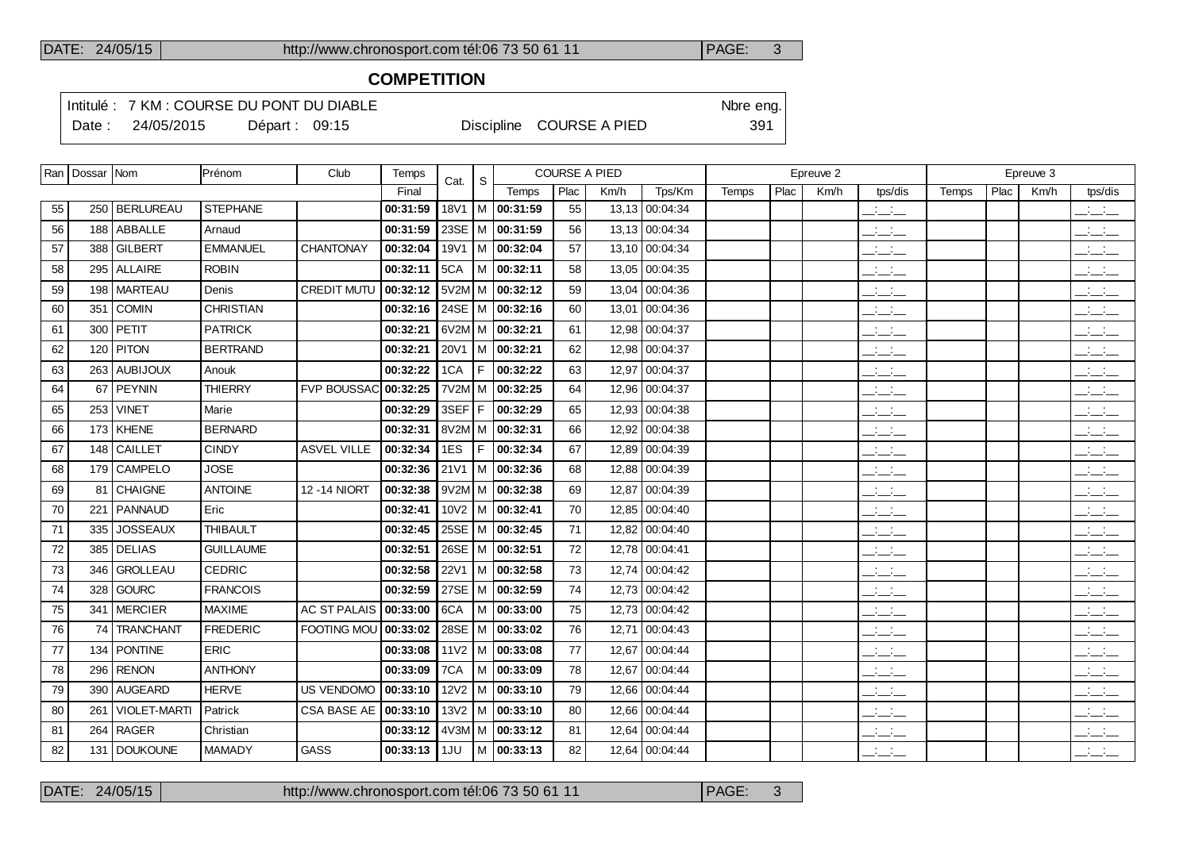# **COMPETITION**

Intitulé : 7 KM : COURSE DU PONT DU DIABLE Note that the state of the SN of the eng. Date : 24/05/2015 Départ : 09:15 Discipline COURSE A PIED 391

|    | Ran   Dossar   Nom |                     | Prénom           | Club                | Temps    | Cat.             | <sub>S</sub> |                            | <b>COURSE A PIED</b> |      |                |       |      | Epreuve 2 |                                 |       |      | Epreuve 3 |                                           |
|----|--------------------|---------------------|------------------|---------------------|----------|------------------|--------------|----------------------------|----------------------|------|----------------|-------|------|-----------|---------------------------------|-------|------|-----------|-------------------------------------------|
|    |                    |                     |                  |                     | Final    |                  |              | Temps                      | Plac                 | Km/h | Tps/Km         | Temps | Plac | Km/h      | tps/dis                         | Temps | Plac | Km/h      | tps/dis                                   |
| 55 |                    | 250   BERLUREAU     | <b>STEPHANE</b>  |                     | 00:31:59 | <b>18V1</b>      |              | M 00:31:59                 | 55                   |      | 13,13 00:04:34 |       |      |           | للمناصب                         |       |      |           | $  -$                                     |
| 56 |                    | 188 ABBALLE         | Arnaud           |                     | 00:31:59 | 23SE             |              | M 00:31:59                 | 56                   |      | 13,13 00:04:34 |       |      |           | $\mathbb{R}$ and $\mathbb{R}$   |       |      |           | للأسائل                                   |
| 57 |                    | 388 GILBERT         | <b>EMMANUEL</b>  | <b>CHANTONAY</b>    | 00:32:04 | 19V1             |              | M 00:32:04                 | 57                   |      | 13,10 00:04:34 |       |      |           | للمناصب                         |       |      |           | $\frac{1}{2}$                             |
| 58 |                    | 295 ALLAIRE         | <b>ROBIN</b>     |                     | 00:32:11 | 5CA              |              | M 00:32:11                 | 58                   |      | 13,05 00:04:35 |       |      |           | $  -$                           |       |      |           | $\frac{1}{2}$                             |
| 59 |                    | 198 MARTEAU         | Denis            | <b>CREDIT MUTU</b>  | 00:32:12 |                  |              | $5V2M$ M $\sqrt{00:32:12}$ | 59                   |      | 13.04 00:04:36 |       |      |           | $ -$                            |       |      |           | $\frac{1}{2}$                             |
| 60 | 351                | <b>COMIN</b>        | <b>CHRISTIAN</b> |                     | 00:32:16 |                  |              | 24SE   M   00:32:16        | 60                   |      | 13,01 00:04:36 |       |      |           | $\overline{\phantom{a}}$        |       |      |           | $\overline{\phantom{a}}$                  |
| 61 |                    | 300 PETIT           | <b>PATRICK</b>   |                     | 00:32:21 |                  |              | 6V2M M 00:32:21            | 61                   |      | 12,98 00:04:37 |       |      |           | $\frac{1}{2}$ and $\frac{1}{2}$ |       |      |           | $\overline{\phantom{a}}$                  |
| 62 |                    | 120 PITON           | <b>BERTRAND</b>  |                     | 00:32:21 |                  |              | 20V1 M 00:32:21            | 62                   |      | 12.98 00:04:37 |       |      |           | $\overline{\phantom{a}}$        |       |      |           | $\overline{\phantom{a}}$                  |
| 63 |                    | 263 AUBIJOUX        | Anouk            |                     | 00:32:22 | 1CA              | F.           | 00:32:22                   | 63                   |      | 12,97 00:04:37 |       |      |           | $ -$                            |       |      |           | $\frac{1}{2}$ $\frac{1}{2}$ $\frac{1}{2}$ |
| 64 | 67                 | PEYNIN              | <b>THIERRY</b>   | <b>FVP BOUSSAC</b>  | 00:32:25 |                  |              | 7V2M M 00:32:25            | 64                   |      | 12,96 00:04:37 |       |      |           | $ -$                            |       |      |           | $\overline{\phantom{a}}$                  |
| 65 |                    | 253   VINET         | Marie            |                     | 00:32:29 | 3SEF F           |              | 00:32:29                   | 65                   |      | 12,93 00:04:38 |       |      |           | $\overline{\phantom{a}}$        |       |      |           | $\overline{\phantom{a}}$                  |
| 66 |                    | $173$ KHENE         | <b>BERNARD</b>   |                     | 00:32:31 |                  |              | 8V2M M 00:32:31            | 66                   |      | 12,92 00:04:38 |       |      |           | $\overline{\phantom{a}}$        |       |      |           | <b>Contract</b><br>$  -$                  |
| 67 |                    | 148 CAILLET         | <b>CINDY</b>     | <b>ASVEL VILLE</b>  | 00:32:34 | 1ES              | F.           | 00:32:34                   | 67                   |      | 12,89 00:04:39 |       |      |           | $ -$                            |       |      |           | $ -$                                      |
| 68 |                    | 179 CAMPELO         | <b>JOSE</b>      |                     | 00:32:36 | 21V1             |              | M 00:32:36                 | 68                   |      | 12,88 00:04:39 |       |      |           | $ -$                            |       |      |           | $ -$                                      |
| 69 | 81                 | <b>CHAIGNE</b>      | <b>ANTOINE</b>   | 12 - 14 NIORT       | 00:32:38 |                  |              | $9V2M$ M $ $ 00:32:38      | 69                   |      | 12,87 00:04:39 |       |      |           | $\overline{\phantom{a}}$        |       |      |           | $\mathbb{Z}$ and $\mathbb{Z}$             |
| 70 |                    | 221   PANNAUD       | Eric             |                     | 00:32:41 |                  |              | $10V2$   M   00:32:41      | 70                   |      | 12,85 00:04:40 |       |      |           | سأساب                           |       |      |           | <b>Contract</b><br>$  -$                  |
| 71 | 335                | <b>JOSSEAUX</b>     | <b>THIBAULT</b>  |                     | 00:32:45 |                  |              | 25SE   M   00:32:45        | 71                   |      | 12,82 00:04:40 |       |      |           | $\mathcal{L} = \mathcal{L}$     |       |      |           | بالأسائب                                  |
| 72 |                    | 385   DELIAS        | <b>GUILLAUME</b> |                     | 00:32:51 |                  |              | 26SE   M   00:32:51        | 72                   |      | 12,78 00:04:41 |       |      |           | $  -$                           |       |      |           | $\frac{1}{2}$ and $\frac{1}{2}$           |
| 73 |                    | 346 GROLLEAU        | <b>CEDRIC</b>    |                     | 00:32:58 | 22V1             |              | M 00:32:58                 | 73                   |      | 12,74 00:04:42 |       |      |           | للأساس                          |       |      |           | $\mathbb{R}$ and $\mathbb{R}$             |
| 74 |                    | 328 GOURC           | <b>FRANCOIS</b>  |                     | 00:32:59 |                  |              | 27SE M 00:32:59            | 74                   |      | 12,73 00:04:42 |       |      |           | $ -$                            |       |      |           | <b>Contract</b><br>$  -$                  |
| 75 |                    | 341 MERCIER         | <b>MAXIME</b>    | <b>AC ST PALAIS</b> | 00:33:00 | 6CA              | l M          | 00:33:00                   | 75                   |      | 12.73 00:04:42 |       |      |           | $\overline{\phantom{a}}$        |       |      |           | $\overline{\phantom{a}}$                  |
| 76 | 74 I               | TRANCHANT           | <b>FREDERIC</b>  | FOOTING MOU         | 00:33:02 |                  |              | 28SE   M   00:33:02        | 76                   |      | 12,71 00:04:43 |       |      |           | <b>Contract</b><br>$  -$        |       |      |           | <b>Contract Contract</b><br>$  -$         |
| 77 | 134                | <b>PONTINE</b>      | <b>ERIC</b>      |                     | 00:33:08 | 11 <sub>V2</sub> | l M          | 00:33:08                   | 77                   |      | 12,67 00:04:44 |       |      |           | المنافسات                       |       |      |           | <b>Contract Contract</b><br>$  -$         |
| 78 | 296 l              | <b>RENON</b>        | <b>ANTHONY</b>   |                     | 00:33:09 | 7CA              |              | M 00:33:09                 | 78                   |      | 12,67 00:04:44 |       |      |           | $ -$                            |       |      |           | $\frac{1}{2}$                             |
| 79 | 390 l              | <b>AUGEARD</b>      | <b>HERVE</b>     | <b>US VENDOMO</b>   | 00:33:10 | <b>12V2</b>      |              | M 00:33:10                 | 79                   |      | 12,66 00:04:44 |       |      |           | $ -$                            |       |      |           | $\mathbb{Z}$ and $\mathbb{Z}$             |
| 80 | 261                | <b>VIOLET-MARTI</b> | Patrick          | <b>CSA BASE AE</b>  | 00:33:10 | <b>13V2</b>      |              | M 00:33:10                 | 80                   |      | 12.66 00:04:44 |       |      |           | $  -$                           |       |      |           | $\frac{1}{2}$                             |
| 81 | 264                | <b>RAGER</b>        | Christian        |                     | 00:33:12 |                  |              | $4V3M/M$ 00:33:12          | 81                   |      | 12,64 00:04:44 |       |      |           | $ -$                            |       |      |           | <b>Contract Contract</b><br>$  -$         |
| 82 |                    | 131 DOUKOUNE        | <b>MAMADY</b>    | <b>GASS</b>         | 00:33:13 | 1JU              |              | M 00:33:13                 | 82                   |      | 12,64 00:04:44 |       |      |           | $  -$                           |       |      |           | $\frac{1}{2}$ and $\frac{1}{2}$           |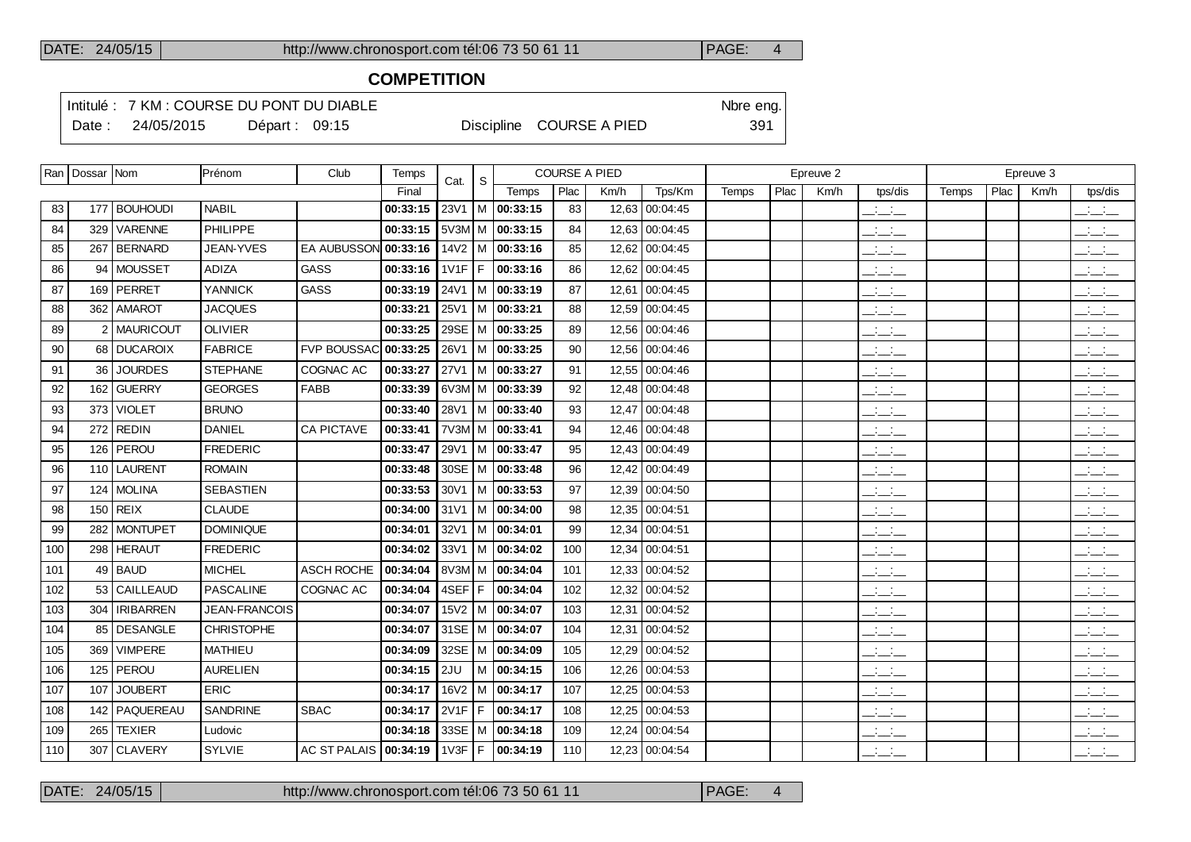## **COMPETITION**

Intitulé : 7 KM : COURSE DU PONT DU DIABLE Note that the state of the SN of the eng. Date : 24/05/2015 Départ : 09:15 Discipline COURSE A PIED 391

|     | Ran   Dossar   Nom |                  | Prénom            | Club                    | Temps    | Cat.        | S. |                               |      | <b>COURSE A PIED</b> |                |       |      | Epreuve 2 |                                 |       |      | Epreuve 3 |                                 |
|-----|--------------------|------------------|-------------------|-------------------------|----------|-------------|----|-------------------------------|------|----------------------|----------------|-------|------|-----------|---------------------------------|-------|------|-----------|---------------------------------|
|     |                    |                  |                   |                         | Final    |             |    | Temps                         | Plac | Km/h                 | Tps/Km         | Temps | Plac | Km/h      | tps/dis                         | Temps | Plac | Km/h      | tps/dis                         |
| 83  |                    | 177   BOUHOUDI   | <b>NABIL</b>      |                         | 00:33:15 | 23V1        |    | $ M $ 00:33:15                | 83   |                      | 12,63 00:04:45 |       |      |           | للمناصب                         |       |      |           | $\mathbb{R}$ and $\mathbb{R}$   |
| 84  | 329                | VARENNE          | PHILIPPE          |                         | 00:33:15 |             |    | $5V3M/M$ 00:33:15             | 84   |                      | 12,63 00:04:45 |       |      |           | $\frac{1}{2}$ and $\frac{1}{2}$ |       |      |           | $\overline{\phantom{a}}$        |
| 85  |                    | 267   BERNARD    | JEAN-YVES         | EA AUBUSSON 00:33:16    |          |             |    | 14V2   M $ $ 00:33:16         | 85   |                      | 12,62 00:04:45 |       |      |           | للأسائد                         |       |      |           | بالبياني                        |
| 86  |                    | 94   MOUSSET     | <b>ADIZA</b>      | <b>GASS</b>             | 00:33:16 | $1V1F$ F    |    | 00:33:16                      | 86   |                      | 12,62 00:04:45 |       |      |           | $ -$                            |       |      |           | للأسائد                         |
| 87  |                    | 169 PERRET       | <b>YANNICK</b>    | GASS                    | 00:33:19 | 24V1        |    | $ M $ 00:33:19                | 87   |                      | 12,61 00:04:45 |       |      |           | سأسأب                           |       |      |           | $\sim 100$<br>$  -$             |
| 88  |                    | 362   AMAROT     | <b>JACQUES</b>    |                         | 00:33:21 | 25V1        |    | M   00:33:21                  | 88   |                      | 12,59 00:04:45 |       |      |           | $\overline{\phantom{a}}$        |       |      |           | $\frac{1}{2}$                   |
| 89  |                    | 2 MAURICOUT      | <b>OLIVIER</b>    |                         | 00:33:25 |             |    | 29SE   M   00:33:25           | 89   |                      | 12,56 00:04:46 |       |      |           | $ -$                            |       |      |           | $ -$                            |
| 90  |                    | 68 DUCAROIX      | <b>FABRICE</b>    | FVP BOUSSAC 00:33:25    |          | 26V1        |    | $ M $ 00:33:25                | 90   |                      | 12,56 00:04:46 |       |      |           | $\overline{\phantom{a}}$        |       |      |           | $\mathbb{R}$ and $\mathbb{R}$   |
| 91  | 36                 | <b>JOURDES</b>   | <b>STEPHANE</b>   | COGNAC AC               | 00:33:27 | <b>27V1</b> |    | $ M $ 00:33:27                | 91   |                      | 12,55 00:04:46 |       |      |           | للمناصب                         |       |      |           | $\frac{1}{2}$                   |
| 92  | 162                | GUERRY           | <b>GEORGES</b>    | <b>FABB</b>             | 00:33:39 |             |    | 6V3M M 00:33:39               | 92   |                      | 12,48 00:04:48 |       |      |           | $\overline{\phantom{a}}$        |       |      |           | $\frac{1}{2}$                   |
| 93  | 373                | <b>VIOLET</b>    | <b>BRUNO</b>      |                         | 00:33:40 | 28V1        |    | $ M $ 00:33:40                | 93   |                      | 12,47 00:04:48 |       |      |           | للأسائل                         |       |      |           | $\frac{1}{2}$                   |
| 94  |                    | $272$ REDIN      | <b>DANIEL</b>     | CA PICTAVE              | 00:33:41 |             |    | 7V3M M 00:33:41               | 94   |                      | 12,46 00:04:48 |       |      |           | سأسأب                           |       |      |           | بالأسائب                        |
| 95  |                    | 126   PEROU      | <b>FREDERIC</b>   |                         | 00:33:47 | 29V1        |    | $ M $ 00:33:47                | 95   |                      | 12,43 00:04:49 |       |      |           | سأسأب                           |       |      |           | بالأسائب                        |
| 96  |                    | 110 LAURENT      | <b>ROMAIN</b>     |                         | 00:33:48 |             |    | 30SE   M   00:33:48           | 96   |                      | 12,42 00:04:49 |       |      |           | $ -$                            |       |      |           | $ -$                            |
| 97  |                    | 124 MOLINA       | <b>SEBASTIEN</b>  |                         | 00:33:53 | 30V1        |    | $ M $ 00:33:53                | 97   |                      | 12,39 00:04:50 |       |      |           | $\overline{\phantom{a}}$        |       |      |           | $\overline{\phantom{a}}$        |
| 98  |                    | $150$ REIX       | <b>CLAUDE</b>     |                         | 00:34:00 | 31V1        |    | $\overline{\big  M}$ 00:34:00 | 98   |                      | 12,35 00:04:51 |       |      |           | $\mathcal{L} = \mathcal{L}$     |       |      |           | $\frac{1}{2}$ and $\frac{1}{2}$ |
| 99  | 282                | MONTUPET         | <b>DOMINIQUE</b>  |                         | 00:34:01 | 32V1        |    | M 00:34:01                    | 99   |                      | 12,34 00:04:51 |       |      |           | $\mathcal{L} = \mathcal{L}$     |       |      |           | $\overline{\phantom{a}}$        |
| 100 |                    | 298 HERAUT       | <b>FREDERIC</b>   |                         | 00:34:02 | 33V1        |    | $ M $ 00:34:02                | 100  |                      | 12,34 00:04:51 |       |      |           | $\overline{\phantom{a}}$        |       |      |           | $\frac{1}{2}$ and $\frac{1}{2}$ |
| 101 |                    | $49$ BAUD        | <b>MICHEL</b>     | ASCH ROCHE              | 00:34:04 |             |    | 8V3M M 00:34:04               | 101  |                      | 12,33 00:04:52 |       |      |           | $\overline{\phantom{a}}$        |       |      |           | $\overline{\phantom{a}}$        |
| 102 |                    | 53 CAILLEAUD     | <b>PASCALINE</b>  | COGNAC AC               | 00:34:04 | 4SEF F      |    | 00:34:04                      | 102  |                      | 12,32 00:04:52 |       |      |           | $ -$                            |       |      |           | $\frac{1}{2}$ and $\frac{1}{2}$ |
| 103 | 304                | <b>IRIBARREN</b> | JEAN-FRANCOIS     |                         | 00:34:07 |             |    | $15V2$   M   00:34:07         | 103  |                      | 12,31 00:04:52 |       |      |           | سأسأب                           |       |      |           | $\frac{1}{2}$                   |
| 104 |                    | 85   DESANGLE    | <b>CHRISTOPHE</b> |                         | 00:34:07 |             |    | 31SE   M   00:34:07           | 104  |                      | 12,31 00:04:52 |       |      |           | $\overline{\phantom{a}}$        |       |      |           | $\overline{\phantom{a}}$        |
| 105 | 369                | <b>VIMPERE</b>   | <b>MATHIEU</b>    |                         | 00:34:09 |             |    | 32SE   M   00:34:09           | 105  |                      | 12,29 00:04:52 |       |      |           | للأسائل                         |       |      |           | $\overline{\phantom{a}}$        |
| 106 |                    | 125   PEROU      | <b>AURELIEN</b>   |                         | 00:34:15 | 2JU         |    | M 00:34:15                    | 106  |                      | 12,26 00:04:53 |       |      |           | $\mathcal{L} = \mathcal{L}$     |       |      |           | $\mathcal{L} = \mathcal{L}$     |
| 107 | 107                | <b>JOUBERT</b>   | <b>ERIC</b>       |                         | 00:34:17 | <b>16V2</b> |    | M 00:34:17                    | 107  |                      | 12,25 00:04:53 |       |      |           | $\overline{\phantom{a}}$        |       |      |           | $\frac{1}{2}$                   |
| 108 |                    | 142   PAQUEREAU  | <b>SANDRINE</b>   | <b>SBAC</b>             | 00:34:17 | $2V1F$ F    |    | 00:34:17                      | 108  |                      | 12,25 00:04:53 |       |      |           | <b>Contract</b><br>$  -$        |       |      |           | $\mathbb{R}$ and $\mathbb{R}$   |
| 109 | 265                | <b>TEXIER</b>    | Ludovic           |                         | 00:34:18 |             |    | 33SE   M   00:34:18           | 109  |                      | 12,24 00:04:54 |       |      |           | سأسأب                           |       |      |           | <b>Contract</b><br>---          |
| 110 |                    | 307 CLAVERY      | <b>SYLVIE</b>     | AC ST PALAIS   00:34:19 |          |             |    | 1V3F F 00:34:19               | 110  |                      | 12,23 00:04:54 |       |      |           | $\mathbb{Z}$ and $\mathbb{Z}$   |       |      |           | للمستنقذ                        |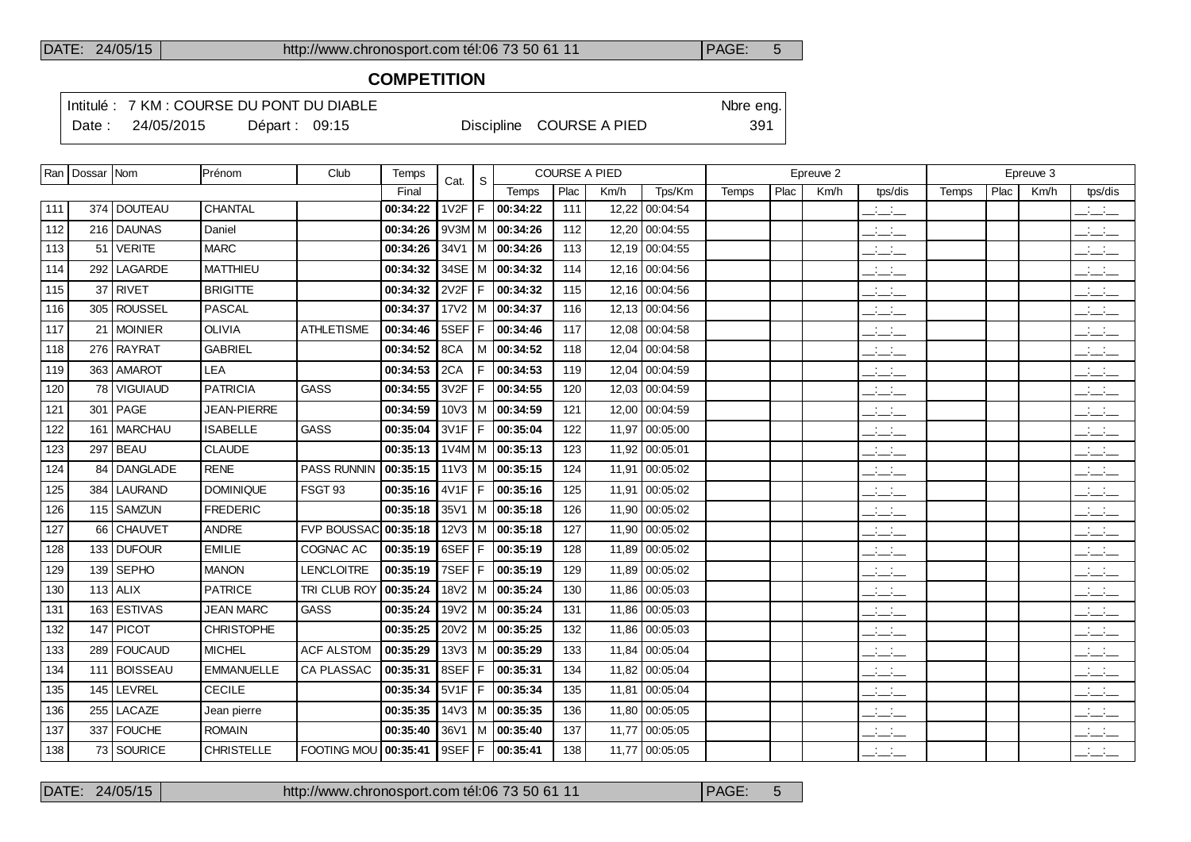# **COMPETITION**

Intitulé : 7 KM : COURSE DU PONT DU DIABLE Note that the state of the SN of the eng. Date : 24/05/2015 Départ : 09:15 Discipline COURSE A PIED 391

|     | Ran   Dossar   Nom |                | Prénom            | Club               | Temps                    | Cat.     | <sub>S</sub> |                                  |      | <b>COURSE A PIED</b> |                |       |      | Epreuve 2 |                                 |       |      | Epreuve 3 |                                           |
|-----|--------------------|----------------|-------------------|--------------------|--------------------------|----------|--------------|----------------------------------|------|----------------------|----------------|-------|------|-----------|---------------------------------|-------|------|-----------|-------------------------------------------|
|     |                    |                |                   |                    | Final                    |          |              | Temps                            | Plac | Km/h                 | Tps/Km         | Temps | Plac | Km/h      | tps/dis                         | Temps | Plac | Km/h      | tps/dis                                   |
| 111 |                    | 374   DOUTEAU  | CHANTAL           |                    | 00:34:22                 | 1V2F     | F            | 00:34:22                         | 111  |                      | 12,22 00:04:54 |       |      |           | للمناصب                         |       |      |           | $\frac{1}{2}$ and $\frac{1}{2}$           |
| 112 |                    | 216 DAUNAS     | Daniel            |                    | 00:34:26                 |          |              | $9V3M$ M   00:34:26              | 112  |                      | 12,20 00:04:55 |       |      |           | المتحاط                         |       |      |           | $\overline{\phantom{a}}$                  |
| 113 |                    | $51$ VERITE    | <b>MARC</b>       |                    | 00:34:26                 |          |              | $34V1$ M   00:34:26              | 113  |                      | 12,19 00:04:55 |       |      |           | $\overline{\phantom{a}}$        |       |      |           | للأسائل                                   |
| 114 |                    | 292   LAGARDE  | <b>MATTHIEU</b>   |                    | 00:34:32                 | 34SE     |              | M 00:34:32                       | 114  | 12,16                | 00:04:56       |       |      |           | $\frac{1}{2}$ and $\frac{1}{2}$ |       |      |           | $ -$                                      |
| 115 |                    | 37 RIVET       | <b>BRIGITTE</b>   |                    | 00:34:32                 | 2V2F     | F            | 00:34:32                         | 115  |                      | 12.16 00:04:56 |       |      |           | $\frac{1}{2}$ and $\frac{1}{2}$ |       |      |           | $\overline{\phantom{a}}$                  |
| 116 |                    | 305 ROUSSEL    | <b>PASCAL</b>     |                    | 00:34:37                 | 17V2     |              | M 00:34:37                       | 116  | 12, 13               | 00:04:56       |       |      |           | $\frac{1}{2}$ and $\frac{1}{2}$ |       |      |           | للأسائل                                   |
| 117 |                    | 21 MOINIER     | <b>OLIVIA</b>     | <b>ATHLETISME</b>  | 00:34:46                 | 5SEF     | F            | 00:34:46                         | 117  |                      | 12,08 00:04:58 |       |      |           | للمناصب                         |       |      |           | للأسائل                                   |
| 118 |                    | 276 RAYRAT     | <b>GABRIEL</b>    |                    | 00:34:52                 | 8CA      |              | $M$ 00:34:52                     | 118  | 12,04                | 00:04:58       |       |      |           | $\frac{1}{2}$ and $\frac{1}{2}$ |       |      |           | للأسائل                                   |
| 119 |                    | 363 AMAROT     | <b>LEA</b>        |                    | 00:34:53                 | 2CA      | F            | 00:34:53                         | 119  |                      | 12,04 00:04:59 |       |      |           | للأساد                          |       |      |           | <b>Contract</b><br>$  -$                  |
| 120 | 78 I               | l VIGUIAUD     | <b>PATRICIA</b>   | <b>GASS</b>        | 00:34:55                 | 3V2F     | F            | 00:34:55                         | 120  | 12.03                | 00:04:59       |       |      |           | $ -$                            |       |      |           | $\Box \Box \Box$                          |
| 121 |                    | 301   PAGE     | JEAN-PIERRE       |                    | 00:34:59                 | 10V3     |              | $M$ 00:34:59                     | 121  |                      | 12,00 00:04:59 |       |      |           | $\overline{\phantom{a}}$        |       |      |           | $\overline{\phantom{a}}$                  |
| 122 |                    | 161   MARCHAU  | <b>ISABELLE</b>   | <b>GASS</b>        | 00:35:04                 | 3V1F     | F            | 00:35:04                         | 122  |                      | 11,97 00:05:00 |       |      |           | $\overline{\phantom{a}}$        |       |      |           | $\overline{\phantom{a}}$                  |
| 123 |                    | 297   BEAU     | <b>CLAUDE</b>     |                    | 00:35:13                 |          |              | $1\sqrt{4M}$ M   00:35:13        | 123  | 11,92                | 00:05:01       |       |      |           | $\frac{1}{2}$                   |       |      |           | $\frac{1}{2}$ and $\frac{1}{2}$           |
| 124 |                    | 84 DANGLADE    | <b>RENE</b>       | PASS RUNNIN        | 00:35:15                 |          |              | 11V3   M   00:35:15              | 124  |                      | 11,91 00:05:02 |       |      |           | $\frac{1}{2}$ and $\frac{1}{2}$ |       |      |           | للأسائل                                   |
| 125 | 384                | <b>LAURAND</b> | <b>DOMINIQUE</b>  | FSGT 93            | 00:35:16                 | 4V1F     | F            | 00:35:16                         | 125  |                      | 11.91 00:05:02 |       |      |           | $\frac{1}{2}$ and $\frac{1}{2}$ |       |      |           | $\overline{\phantom{a}}$                  |
| 126 |                    | 115   SAMZUN   | <b>FREDERIC</b>   |                    | 00:35:18                 |          |              | $35\sqrt{1}$ M $\sqrt{00:35:18}$ | 126  | 11,90                | 00:05:02       |       |      |           | $ -$                            |       |      |           | $  -$                                     |
| 127 |                    | 66 CHAUVET     | <b>ANDRE</b>      | <b>FVP BOUSSAC</b> | 00:35:18                 | $12V3$ M |              | 00:35:18                         | 127  | 11.90                | 00:05:02       |       |      |           | $\frac{1}{2}$ and $\frac{1}{2}$ |       |      |           | $\frac{1}{2}$ $\frac{1}{2}$ $\frac{1}{2}$ |
| 128 |                    | 133 DUFOUR     | <b>EMILIE</b>     | COGNAC AC          | 00:35:19                 | 6SEF F   |              | 00:35:19                         | 128  |                      | 11,89 00:05:02 |       |      |           | $\overline{\phantom{a}}$        |       |      |           | $ -$                                      |
| 129 |                    | 139   SEPHO    | <b>MANON</b>      | <b>LENCLOITRE</b>  | 00:35:19                 | 7SEF     | F            | 00:35:19                         | 129  | 11,89                | 00:05:02       |       |      |           | $ -$                            |       |      |           | $ -$                                      |
| 130 |                    | $113$ ALIX     | <b>PATRICE</b>    | TRI CLUB ROY       | 00:35:24                 |          |              | 18V2   M   00:35:24              | 130  |                      | 11,86 00:05:03 |       |      |           | سأسأب                           |       |      |           | $ -$                                      |
| 131 |                    | 163 ESTIVAS    | <b>JEAN MARC</b>  | <b>GASS</b>        | 00:35:24                 | 19V2     | l M          | 00:35:24                         | 131  |                      | 11,86 00:05:03 |       |      |           | للمناصب                         |       |      |           | للأسائل                                   |
| 132 |                    | 147 PICOT      | <b>CHRISTOPHE</b> |                    | 00:35:25                 |          |              | $20V2$   M   00:35:25            | 132  |                      | 11,86 00:05:03 |       |      |           | $\overline{\phantom{a}}$        |       |      |           | $\mathbb{R}$ and $\mathbb{R}$             |
| 133 |                    | 289   FOUCAUD  | <b>MICHEL</b>     | <b>ACF ALSTOM</b>  | 00:35:29                 | 13V3     | м            | 00:35:29                         | 133  | 11,84                | 00:05:04       |       |      |           | $\overline{\phantom{a}}$        |       |      |           | للأسائل                                   |
| 134 |                    | 111 BOISSEAU   | <b>EMMANUELLE</b> | CA PLASSAC         | 00:35:31                 | 8SEF     | F            | 00:35:31                         | 134  |                      | 11,82 00:05:04 |       |      |           | $\frac{1}{2}$                   |       |      |           | للأستخب                                   |
| 135 | 145                | LEVREL         | <b>CECILE</b>     |                    | 00:35:34                 | 5V1F     | l F          | 00:35:34                         | 135  |                      | 11,81 00:05:04 |       |      |           | $\overline{\phantom{a}}$        |       |      |           | $\overline{\phantom{a}}$                  |
| 136 |                    | 255 LACAZE     | Jean pierre       |                    | 00:35:35                 |          |              | $14\sqrt{3}$   M   00:35:35      | 136  |                      | 11,80 00:05:05 |       |      |           | $ -$                            |       |      |           | $\frac{1}{2}$ and $\frac{1}{2}$           |
| 137 |                    | 337   FOUCHE   | <b>ROMAIN</b>     |                    | 00:35:40                 | 36V1     |              | M 100:35:40                      | 137  |                      | 11,77 00:05:05 |       |      |           | $\frac{1}{2}$ and $\frac{1}{2}$ |       |      |           | للأسائل                                   |
| 138 |                    | 73 SOURICE     | <b>CHRISTELLE</b> | FOOTING MOU        | 00:35:41 9SEF F 00:35:41 |          |              |                                  | 138  |                      | 11,77 00:05:05 |       |      |           | $\sim$                          |       |      |           | بالسائد                                   |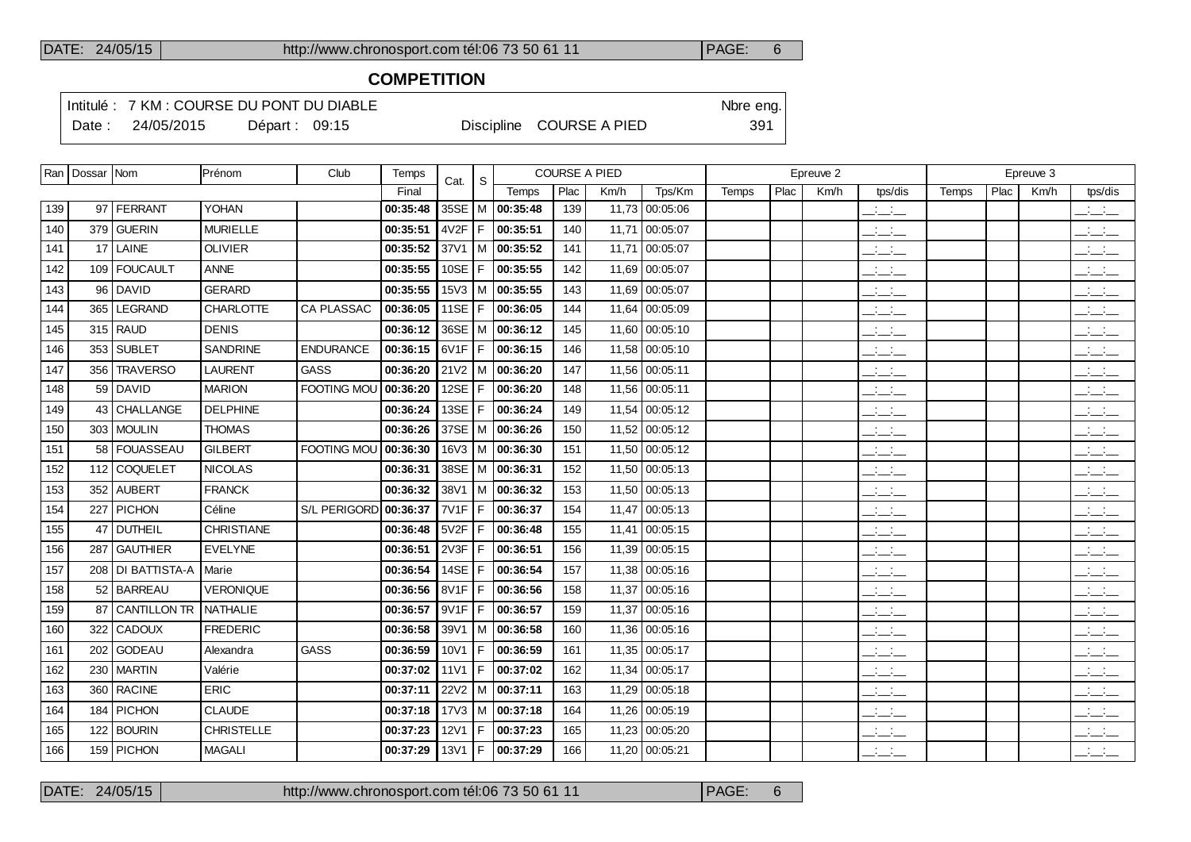# **COMPETITION**

Intitulé : 7 KM : COURSE DU PONT DU DIABLE Note that the state of the SN of the eng.

Date : 24/05/2015 Départ : 09:15 Discipline COURSE A PIED 391

|     | Ran   Dossar   Nom |                     | Prénom            | Club                | Temps    | Cat.             | S  |                                  | <b>COURSE A PIED</b> |       |                |       |      | Epreuve 2 |                                 |       |      | Epreuve 3 |                                 |
|-----|--------------------|---------------------|-------------------|---------------------|----------|------------------|----|----------------------------------|----------------------|-------|----------------|-------|------|-----------|---------------------------------|-------|------|-----------|---------------------------------|
|     |                    |                     |                   |                     | Final    |                  |    | Temps                            | Plac                 | Km/h  | Tps/Km         | Temps | Plac | Km/h      | tps/dis                         | Temps | Plac | Km/h      | tps/dis                         |
| 139 |                    | 97 FERRANT          | <b>YOHAN</b>      |                     | 00:35:48 |                  |    | 35SE   M   00:35:48              | 139                  |       | 11,73 00:05:06 |       |      |           | سأنسأ                           |       |      |           | $\frac{1}{2}$ and $\frac{1}{2}$ |
| 140 |                    | 379 GUERIN          | <b>MURIELLE</b>   |                     | 00:35:51 |                  |    | $4V2F$   F   00:35:51            | 140                  | 11,71 | 00:05:07       |       |      |           | $\frac{1}{2}$                   |       |      |           | $\frac{1}{2}$                   |
| 141 |                    | $17$ LAINE          | <b>OLIVIER</b>    |                     | 00:35:52 |                  |    | $37V1$ M $ 00:35:52$             | 141                  |       | 11,71 00:05:07 |       |      |           | $\frac{1}{2}$ and $\frac{1}{2}$ |       |      |           | $\mathbb{R}$ and $\mathbb{R}$   |
| 142 |                    | 109   FOUCAULT      | <b>ANNE</b>       |                     | 00:35:55 |                  |    | 10SE   F   00:35:55              | 142                  |       | 11,69 00:05:07 |       |      |           | $\overline{\phantom{a}}$        |       |      |           | للأساب                          |
| 143 |                    | 96 DAVID            | <b>GERARD</b>     |                     | 00:35:55 |                  |    | $15\sqrt{3}$   M   00:35:55      | 143                  |       | 11,69 00:05:07 |       |      |           | للأسائل                         |       |      |           | $\frac{1}{2}$ and $\frac{1}{2}$ |
| 144 |                    | 365 LEGRAND         | <b>CHARLOTTE</b>  | <b>CA PLASSAC</b>   | 00:36:05 |                  |    | 11SE   F   00:36:05              | 144                  |       | 11,64 00:05:09 |       |      |           | للأسائل                         |       |      |           | $\frac{1}{2}$                   |
| 145 |                    | $315$ RAUD          | <b>DENIS</b>      |                     | 00:36:12 |                  |    | 36SE   M   00:36:12              | 145                  |       | 11,60 00:05:10 |       |      |           | للأسائل                         |       |      |           | $\frac{1}{2}$                   |
| 146 |                    | 353 SUBLET          | <b>SANDRINE</b>   | <b>ENDURANCE</b>    | 00:36:15 |                  |    | $6V1F$   F   00:36:15            | 146                  |       | 11,58 00:05:10 |       |      |           | $\overline{\phantom{a}}$        |       |      |           | $\frac{1}{2}$ and $\frac{1}{2}$ |
| 147 | 356 l              | <b>TRAVERSO</b>     | <b>LAURENT</b>    | GASS                | 00:36:20 |                  |    | $21\sqrt{2}$ M $\sqrt{00:36:20}$ | 147                  |       | 11,56 00:05:11 |       |      |           | للأسائل                         |       |      |           | $\frac{1}{2}$ and $\frac{1}{2}$ |
| 148 |                    | 59 DAVID            | <b>MARION</b>     | <b>FOOTING MOU</b>  | 00:36:20 |                  |    | 12SE   F   00:36:20              | 148                  |       | 11,56 00:05:11 |       |      |           | للأسائل                         |       |      |           | $\overline{\phantom{a}}$        |
| 149 |                    | 43 CHALLANGE        | <b>DELPHINE</b>   |                     | 00:36:24 |                  |    | 13SE   F   00:36:24              | 149                  |       | 11,54 00:05:12 |       |      |           | $\overline{\phantom{a}}$        |       |      |           | $\frac{1}{2}$                   |
| 150 |                    | 303   MOULIN        | <b>THOMAS</b>     |                     | 00:36:26 |                  |    | 37SE   M   00:36:26              | 150                  |       | 11,52 00:05:12 |       |      |           | سأسأب                           |       |      |           | $\frac{1}{2}$ and $\frac{1}{2}$ |
| 151 |                    | 58 FOUASSEAU        | <b>GILBERT</b>    | <b>FOOTING MOU</b>  | 00:36:30 |                  |    | $16\sqrt{3}$   M   00:36:30      | 151                  |       | 11,50 00:05:12 |       |      |           | للأسائد                         |       |      |           | $\frac{1}{2}$ and $\frac{1}{2}$ |
| 152 |                    | 112 COQUELET        | <b>NICOLAS</b>    |                     | 00:36:31 |                  |    | 38SE   M   00:36:31              | 152                  |       | 11,50 00:05:13 |       |      |           | سأسأب                           |       |      |           | للأسائد                         |
| 153 |                    | 352 AUBERT          | <b>FRANCK</b>     |                     | 00:36:32 |                  |    | 38V1   M   00:36:32              | 153                  |       | 11,50 00:05:13 |       |      |           | $\overline{\phantom{a}}$        |       |      |           | $\overline{\phantom{a}}$        |
| 154 |                    | 227 PICHON          | Céline            | <b>S/L PERIGORD</b> | 00:36:37 |                  |    | 7V1F   F   00:36:37              | 154                  |       | 11,47 00:05:13 |       |      |           | للأسائد                         |       |      |           | للأساد                          |
| 155 |                    | 47 DUTHEIL          | <b>CHRISTIANE</b> |                     | 00:36:48 | 5V2F F           |    | 00:36:48                         | 155                  |       | 11,41 00:05:15 |       |      |           | للأساد                          |       |      |           | $\frac{1}{2}$                   |
| 156 |                    | 287 GAUTHIER        | <b>EVELYNE</b>    |                     | 00:36:51 | 2V3F             | F. | 00:36:51                         | 156                  |       | 11,39 00:05:15 |       |      |           | للأسائد                         |       |      |           | للأسائد                         |
| 157 |                    | 208   DI BATTISTA-A | Marie             |                     | 00:36:54 | 14SE $ F $       |    | 00:36:54                         | 157                  |       | 11,38 00:05:16 |       |      |           | $\overline{\phantom{a}}$        |       |      |           | $\overline{\phantom{a}}$        |
| 158 |                    | 52 BARREAU          | <b>VERONIQUE</b>  |                     | 00:36:56 |                  |    | $8V1F$   F   00:36:56            | 158                  |       | 11,37 00:05:16 |       |      |           | للأسائل                         |       |      |           | للأساد                          |
| 159 |                    | 87 CANTILLON TR     | NATHALIE          |                     | 00:36:57 |                  |    | $9V1F$   F   00:36:57            | 159                  |       | 11,37 00:05:16 |       |      |           | $\overline{\phantom{a}}$        |       |      |           | $\frac{1}{2}$                   |
| 160 |                    | 322 CADOUX          | <b>FREDERIC</b>   |                     | 00:36:58 |                  |    | $39V1$   M   00:36:58            | 160                  |       | 11,36 00:05:16 |       |      |           | للأسائل                         |       |      |           | $\frac{1}{2}$                   |
| 161 |                    | 202 GODEAU          | Alexandra         | GASS                | 00:36:59 |                  |    | $10V1$   F   00:36:59            | 161                  |       | 11,35 00:05:17 |       |      |           | $\overline{\phantom{a}}$        |       |      |           | $\overline{\phantom{a}}$        |
| 162 |                    | 230 MARTIN          | Valérie           |                     | 00:37:02 | 11 <sub>V1</sub> |    | F 00:37:02                       | 162                  |       | 11,34 00:05:17 |       |      |           | للأساب                          |       |      |           | $\frac{1}{2}$                   |
| 163 |                    | 360 RACINE          | <b>ERIC</b>       |                     | 00:37:11 | 22V2             |    | M 00:37:11                       | 163                  |       | 11,29 00:05:18 |       |      |           | $\overline{\phantom{a}}$        |       |      |           | $\overline{\phantom{a}}$        |
| 164 |                    | 184   PICHON        | <b>CLAUDE</b>     |                     | 00:37:18 |                  |    | $17\sqrt{3}$   M   00:37:18      | 164                  |       | 11,26 00:05:19 |       |      |           | $\frac{1}{2}$ and $\frac{1}{2}$ |       |      |           | $\frac{1}{2}$                   |
| 165 |                    | 122 BOURIN          | <b>CHRISTELLE</b> |                     | 00:37:23 |                  |    | 12V1   F   00:37:23              | 165                  |       | 11,23 00:05:20 |       |      |           | للأسائد                         |       |      |           | $\frac{1}{2}$ and $\frac{1}{2}$ |
| 166 |                    | 159 PICHON          | <b>MAGALI</b>     |                     | 00:37:29 |                  |    | 13V1   F <b>00:37:29</b>         | 166                  |       | 11,20 00:05:21 |       |      |           | $\overline{\phantom{a}}$        |       |      |           | $\frac{1}{2}$                   |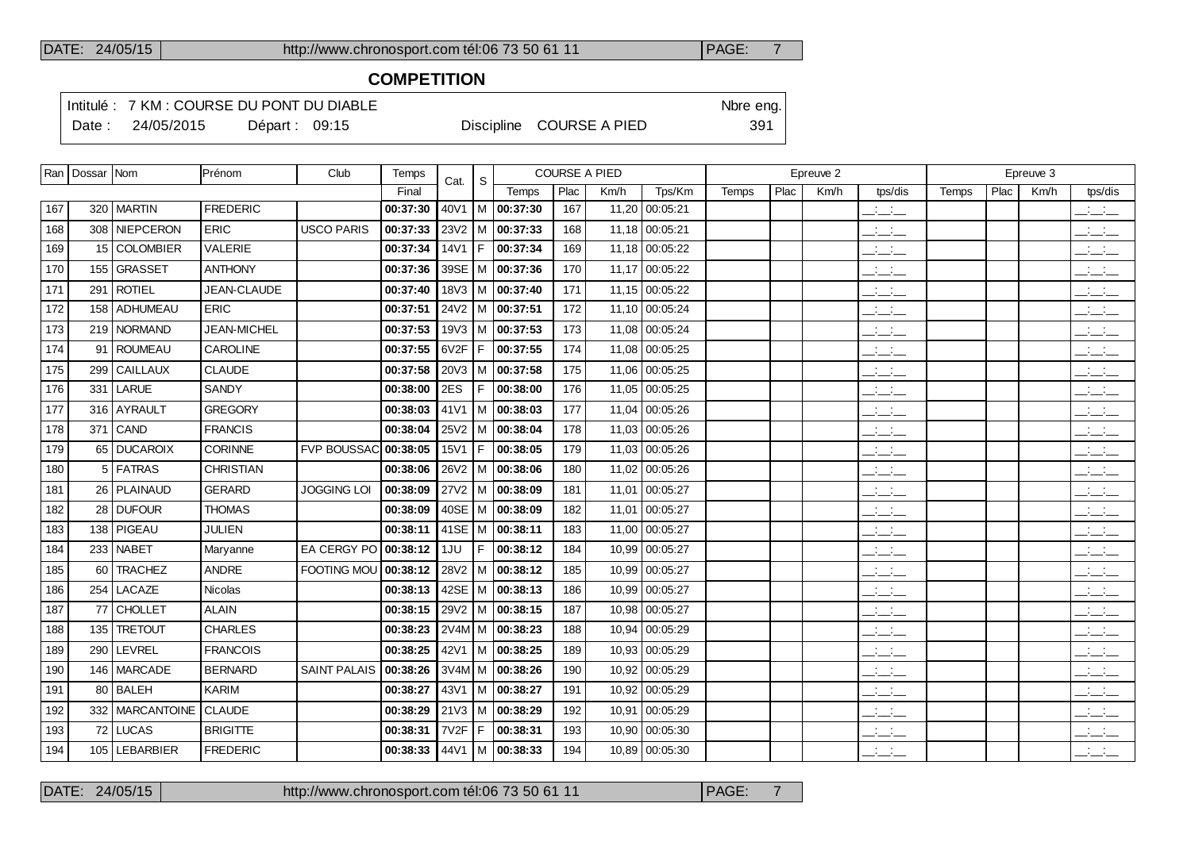## **COMPETITION**

Intitulé : 7 KM : COURSE DU PONT DU DIABLE Note that the state of the SN of the eng. Date : 24/05/2015 Départ : 09:15 Discipline COURSE A PIED 391

|     | Ran   Dossar   Nom |                            | Prénom             | Club                        | Temps                              | Cat.             | S. |                             |      | <b>COURSE A PIED</b> |                |       |      | Epreuve 2 |                                   |       |      | Epreuve 3 |                                           |
|-----|--------------------|----------------------------|--------------------|-----------------------------|------------------------------------|------------------|----|-----------------------------|------|----------------------|----------------|-------|------|-----------|-----------------------------------|-------|------|-----------|-------------------------------------------|
|     |                    |                            |                    |                             | Final                              |                  |    | Temps                       | Plac | Km/h                 | Tps/Km         | Temps | Plac | Km/h      | tps/dis                           | Temps | Plac | Km/h      | tps/dis                                   |
| 167 |                    | 320   MARTIN               | <b>FREDERIC</b>    |                             | 00:37:30                           | 40V1             |    | M 00:37:30                  | 167  |                      | 11,20 00:05:21 |       |      |           | للأسائد                           |       |      |           | $\mathbb{R}$ and $\mathbb{R}$             |
| 168 |                    | 308 NIEPCERON              | <b>ERIC</b>        | <b>USCO PARIS</b>           | 00:37:33                           |                  |    | 23V2   M   00:37:33         | 168  |                      | 11,18 00:05:21 |       |      |           | $\overline{\phantom{a}}$          |       |      |           | $\mathbb{Z}$ and $\mathbb{Z}$             |
| 169 |                    | 15 COLOMBIER               | VALERIE            |                             | 00:37:34                           | 14V1             | F. | 00:37:34                    | 169  |                      | 11,18 00:05:22 |       |      |           | للأسائد                           |       |      |           | للأسائب                                   |
| 170 |                    | 155 GRASSET                | <b>ANTHONY</b>     |                             | 00:37:36                           | 39SE             |    | M 00:37:36                  | 170  |                      | 11,17 00:05:22 |       |      |           | $ -$                              |       |      |           | $\frac{1}{2}$ and $\frac{1}{2}$           |
| 171 |                    | 291   ROTIEL               | JEAN-CLAUDE        |                             | 00:37:40                           |                  |    | 18V3   M $ $ 00:37:40       | 171  |                      | 11,15 00:05:22 |       |      |           | $ -$                              |       |      |           | $  -$                                     |
| 172 |                    | 158 ADHUMEAU               | <b>ERIC</b>        |                             | 00:37:51                           |                  |    | 24V2   M   00:37:51         | 172  |                      | 11,10 00:05:24 |       |      |           | $\overline{\phantom{a}}$          |       |      |           | $\frac{1}{2}$ and $\frac{1}{2}$           |
| 173 |                    | 219 NORMAND                | <b>JEAN-MICHEL</b> |                             | 00:37:53                           |                  |    | 19V3   M $ $ 00:37:53       | 173  |                      | 11,08 00:05:24 |       |      |           | $\mathcal{L} = \mathcal{L}$       |       |      |           | $ -$                                      |
| 174 |                    | 91   ROUMEAU               | <b>CAROLINE</b>    |                             | 00:37:55                           | 6V2F             | F  | 00:37:55                    | 174  |                      | 11,08 00:05:25 |       |      |           | $ -$                              |       |      |           | $ -$                                      |
| 175 | 299 l              | <b>CAILLAUX</b>            | <b>CLAUDE</b>      |                             | 00:37:58                           |                  |    | $20\sqrt{3}$   M   00:37:58 | 175  |                      | 11,06 00:05:25 |       |      |           | $\mathcal{L} = \mathcal{L}$       |       |      |           | للأسائب                                   |
| 176 |                    | 331 LARUE                  | <b>SANDY</b>       |                             | 00:38:00                           | 2ES              | F  | 00:38:00                    | 176  | 11.05                | 00:05:25       |       |      |           | المنافسات                         |       |      |           | $\overline{\phantom{a}}$                  |
| 177 |                    | 316 AYRAULT                | <b>GREGORY</b>     |                             | 00:38:03                           | 41V1             |    | $ M $ 00:38:03              | 177  |                      | 11,04 00:05:26 |       |      |           | $\frac{1}{2}$ and $\frac{1}{2}$   |       |      |           | $\overline{\phantom{a}}$                  |
| 178 |                    | $371$ CAND                 | <b>FRANCIS</b>     |                             | 00:38:04                           | 25V2             |    | M 100:38:04                 | 178  | 11,03                | 00:05:26       |       |      |           | للمستحق                           |       |      |           | $\frac{1}{2}$ and $\frac{1}{2}$           |
| 179 |                    | 65 DUCAROIX                | CORINNE            | <b>FVP BOUSSAC 00:38:05</b> |                                    | 15V1             | F  | 00:38:05                    | 179  |                      | 11,03 00:05:26 |       |      |           | للأسائل                           |       |      |           | <b>Contractor</b><br>$  -$                |
| 180 |                    | 5 FATRAS                   | <b>CHRISTIAN</b>   |                             | 00:38:06                           | 26V <sub>2</sub> |    | M 00:38:06                  | 180  | 11,02                | 00:05:26       |       |      |           | $\frac{1}{2}$                     |       |      |           | للأسائد                                   |
| 181 |                    | 26   PLAINAUD              | <b>GERARD</b>      | <b>JOGGING LOI</b>          | 00:38:09                           |                  |    | $27V2$   M   00:38:09       | 181  |                      | 11,01 00:05:27 |       |      |           | $\frac{1}{2}$                     |       |      |           | $\frac{1}{2}$ $\frac{1}{2}$               |
| 182 |                    | 28 DUFOUR                  | <b>THOMAS</b>      |                             | 00:38:09                           |                  |    | 40SE   M   00:38:09         | 182  |                      | 11,01 00:05:27 |       |      |           | $\mathcal{L} = \mathcal{L}$       |       |      |           | بالأسائب                                  |
| 183 |                    | 138   PIGEAU               | <b>JULIEN</b>      |                             | 00:38:11   41SE   M   00:38:11     |                  |    |                             | 183  |                      | 11,00 00:05:27 |       |      |           | $\frac{1}{2}$ and $\frac{1}{2}$   |       |      |           | $\frac{1}{2}$ $\frac{1}{2}$ $\frac{1}{2}$ |
| 184 |                    | 233 NABET                  | Maryanne           | EA CERGY PO                 | 00:38:12                           | 1JU              | F  | 00:38:12                    | 184  | 10,99                | 00:05:27       |       |      |           | للمستحق                           |       |      |           | $\frac{1}{2}$                             |
| 185 | 60 l               | <b>TRACHEZ</b>             | <b>ANDRE</b>       | <b>FOOTING MOU</b>          | 00:38:12                           | 28V2             |    | $ M $ 00:38:12              | 185  |                      | 10,99 00:05:27 |       |      |           | $\frac{1}{2}$ and $\frac{1}{2}$   |       |      |           | $\frac{1}{2}$ $\frac{1}{2}$ $\frac{1}{2}$ |
| 186 |                    | 254 LACAZE                 | Nicolas            |                             | 00:38:13                           |                  |    | 42SE   M   00:38:13         | 186  | 10,99                | 00:05:27       |       |      |           | المتحاط                           |       |      |           | $\frac{1}{2}$                             |
| 187 |                    | 77 CHOLLET                 | <b>ALAIN</b>       |                             | 00:38:15                           |                  |    | 29V2   M   00:38:15         | 187  | 10,98                | 00:05:27       |       |      |           | $\frac{1}{2}$ and $\frac{1}{2}$   |       |      |           | $\frac{1}{2}$ $\frac{1}{2}$ $\frac{1}{2}$ |
| 188 |                    | 135 TRETOUT                | <b>CHARLES</b>     |                             | 00:38:23                           |                  |    | $2V4M$ M   00:38:23         | 188  | 10,94                | 00:05:29       |       |      |           | $\mathcal{L} = \mathcal{L}$       |       |      |           | $\mathbb{R}$ and $\mathbb{R}$             |
| 189 |                    | 290   LEVREL               | <b>FRANCOIS</b>    |                             | 00:38:25                           |                  |    | 42V1   M   00:38:25         | 189  | 10,93                | 00:05:29       |       |      |           | $\frac{1}{2}$ and $\frac{1}{2}$   |       |      |           | $\overline{\phantom{a}}$                  |
| 190 |                    | 146   MARCADE              | <b>BERNARD</b>     | <b>SAINT PALAIS</b>         | 00:38:26                           |                  |    | $3V4M/M$ 00:38:26           | 190  | 10,92                | 00:05:29       |       |      |           | $ -$                              |       |      |           | $  -$                                     |
| 191 |                    | 80 BALEH                   | <b>KARIM</b>       |                             | 00:38:27                           |                  |    | 43V1   M   00:38:27         | 191  | 10,92                | 00:05:29       |       |      |           | $\frac{1}{2}$ and $\frac{1}{2}$   |       |      |           | $\frac{1}{2}$ $\frac{1}{2}$ $\frac{1}{2}$ |
| 192 |                    | 332   MARCANTOINE   CLAUDE |                    |                             | 00:38:29                           |                  |    | 21V3   M   00:38:29         | 192  |                      | 10,91 00:05:29 |       |      |           | سأسأب                             |       |      |           | $ -$                                      |
| 193 |                    | 72 LUCAS                   | <b>BRIGITTE</b>    |                             | 00:38:31                           | 7V2F             | F  | 00:38:31                    | 193  | 10,90                | 00:05:30       |       |      |           | $ -$                              |       |      |           | $ -$                                      |
| 194 |                    | 105   LEBARBIER            | <b>FREDERIC</b>    |                             | $ 00:38:33 44\sqrt{1}  M 00:38:33$ |                  |    |                             | 194  |                      | 10,89 00:05:30 |       |      |           | <b>Contract Contract</b><br>$  -$ |       |      |           | <b>Contract Contract</b><br>$  -$         |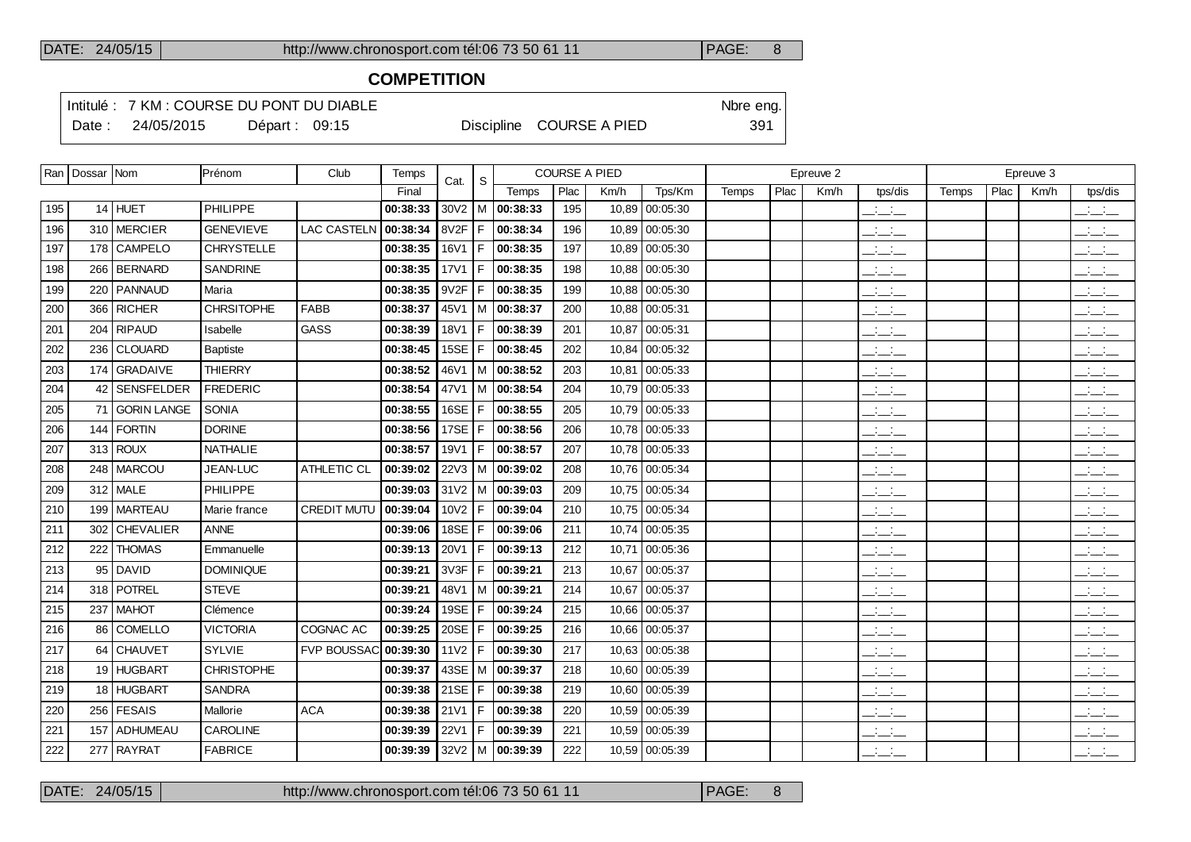# **COMPETITION**

Intitulé : 7 KM : COURSE DU PONT DU DIABLE Note that the state of the SN of the eng. Date : 24/05/2015 Départ : 09:15 Discipline COURSE A PIED 391

|     | Ran   Dossar   Nom |                   | Prénom            | Club               | Temps                           | Cat.             | <sub>S</sub> |                             |      | <b>COURSE A PIED</b> |                |       |      | Epreuve 2 |                                                                      |       |      | Epreuve 3 |                                           |
|-----|--------------------|-------------------|-------------------|--------------------|---------------------------------|------------------|--------------|-----------------------------|------|----------------------|----------------|-------|------|-----------|----------------------------------------------------------------------|-------|------|-----------|-------------------------------------------|
|     |                    |                   |                   |                    | Final                           |                  |              | Temps                       | Plac | Km/h                 | Tps/Km         | Temps | Plac | Km/h      | tps/dis                                                              | Temps | Plac | Km/h      | tps/dis                                   |
| 195 |                    | $14$ HUET         | <b>PHILIPPE</b>   |                    | 00:38:33                        |                  |              | $30\sqrt{2}$   M   00:38:33 | 195  | 10,89                | 00:05:30       |       |      |           | $\frac{1}{2}$ and $\frac{1}{2}$                                      |       |      |           | $\frac{1}{2}$ and $\frac{1}{2}$           |
| 196 |                    | 310 MERCIER       | <b>GENEVIEVE</b>  | <b>LAC CASTELN</b> | 00:38:34                        | 8V2F             | F            | 00:38:34                    | 196  | 10,89                | 00:05:30       |       |      |           | $\mathcal{L} = \mathcal{L}$                                          |       |      |           | $ -$                                      |
| 197 |                    | 178 CAMPELO       | <b>CHRYSTELLE</b> |                    | 00:38:35                        | 16V1             | F            | 00:38:35                    | 197  | 10,89                | 00:05:30       |       |      |           | $ -$                                                                 |       |      |           | $\frac{1}{2}$ and $\frac{1}{2}$           |
| 198 |                    | 266   BERNARD     | SANDRINE          |                    | 00:38:35                        | <b>17V1</b>      | F            | 00:38:35                    | 198  | 10,88                | 00:05:30       |       |      |           | $\overline{\phantom{a}}$                                             |       |      |           | للأسائل                                   |
| 199 |                    | 220   PANNAUD     | Maria             |                    | 00:38:35                        | 9V2F             | F            | 00:38:35                    | 199  | 10.88                | 00:05:30       |       |      |           | $\frac{1}{2}$ and $\frac{1}{2}$                                      |       |      |           | $\mathbb{R}$ and $\mathbb{R}$             |
| 200 |                    | 366 RICHER        | <b>CHRSITOPHE</b> | <b>FABB</b>        | 00:38:37                        | 45V1             | м            | 00:38:37                    | 200  | 10,88                | 00:05:31       |       |      |           | $\mathbb{Z}$ and $\mathbb{Z}$                                        |       |      |           | $\mathbb{R}$ and $\mathbb{R}$             |
| 201 |                    | 204 RIPAUD        | Isabelle          | <b>GASS</b>        | 00:38:39                        | <b>18V1</b>      | F            | 00:38:39                    | 201  |                      | 10,87 00:05:31 |       |      |           | $\mathbb{R}$ and $\mathbb{R}$                                        |       |      |           | للأسائل                                   |
| 202 |                    | 236 CLOUARD       | <b>Baptiste</b>   |                    | 00:38:45                        | <b>15SE</b>      | F            | 00:38:45                    | 202  | 10.84                | 00:05:32       |       |      |           | $ -$                                                                 |       |      |           | $\overline{\phantom{a}}$                  |
| 203 |                    | 174 GRADAIVE      | <b>THIERRY</b>    |                    | 00:38:52                        | 46V1             |              | M 00:38:52                  | 203  |                      | 10,81 00:05:33 |       |      |           | $\frac{1}{2}$ and $\frac{1}{2}$                                      |       |      |           | ---                                       |
| 204 | 42 l               | <b>SENSFELDER</b> | <b>FREDERIC</b>   |                    | 00:38:54                        | 47V1             |              | M 00:38:54                  | 204  | 10,79                | 00:05:33       |       |      |           | للمناصب                                                              |       |      |           | $\overline{\phantom{a}}$                  |
| 205 |                    | 71 GORIN LANGE    | <b>SONIA</b>      |                    | 00:38:55                        | 16SE             | F            | 00:38:55                    | 205  |                      | 10,79 00:05:33 |       |      |           | $\frac{1}{2}$ and $\frac{1}{2}$                                      |       |      |           | بالبياني                                  |
| 206 |                    | $144$ FORTIN      | <b>DORINE</b>     |                    | 00:38:56                        | 17SE             | F            | 00:38:56                    | 206  |                      | 10,78 00:05:33 |       |      |           | $\frac{1}{2}$                                                        |       |      |           | $\frac{1}{2}$                             |
| 207 |                    | $313$ ROUX        | <b>NATHALIE</b>   |                    | 00:38:57                        | 19V1             | F            | 00:38:57                    | 207  |                      | 10,78 00:05:33 |       |      |           | $\mathcal{A}^{\mathcal{A}}$ and $\mathcal{A}^{\mathcal{A}}$<br>$  -$ |       |      |           | $\frac{1}{2}$                             |
| 208 |                    | 248   MARCOU      | JEAN-LUC          | <b>ATHLETIC CL</b> | 00:39:02                        |                  |              | $22\sqrt{3}$   M   00:39:02 | 208  |                      | 10,76 00:05:34 |       |      |           | $\frac{1}{2}$                                                        |       |      |           | $\frac{1}{2}$                             |
| 209 |                    | $312$ MALE        | PHILIPPE          |                    | 00:39:03                        |                  |              | 31V2   M   00:39:03         | 209  |                      | 10,75 00:05:34 |       |      |           | $\frac{1}{2}$                                                        |       |      |           | $\frac{1}{2}$ $\frac{1}{2}$ $\frac{1}{2}$ |
| 210 |                    | 199   MARTEAU     | Marie france      | <b>CREDIT MUTU</b> | 00:39:04                        | 10V2             | F            | 00:39:04                    | 210  | 10.75                | 00:05:34       |       |      |           | $  -$                                                                |       |      |           | $-1$                                      |
| 211 | 302                | <b>CHEVALIER</b>  | <b>ANNE</b>       |                    | 00:39:06                        | 18SE             | F            | 00:39:06                    | 211  | 10,74                | 00:05:35       |       |      |           | $ -$                                                                 |       |      |           | $\frac{1}{2}$ $\frac{1}{2}$ $\frac{1}{2}$ |
| 212 |                    | 222 THOMAS        | Emmanuelle        |                    | 00:39:13                        | 20V1             | F            | 00:39:13                    | 212  |                      | 10,71 00:05:36 |       |      |           | $ -$                                                                 |       |      |           | $\frac{1}{2}$ and $\frac{1}{2}$           |
| 213 | $95 \mid$          | <b>DAVID</b>      | <b>DOMINIQUE</b>  |                    | 00:39:21                        | 3V3F             | F            | 00:39:21                    | 213  | 10,67                | 00:05:37       |       |      |           | $ -$                                                                 |       |      |           | $\mathbb{R}$ and $\mathbb{R}$             |
| 214 |                    | 318   POTREL      | <b>STEVE</b>      |                    | 00:39:21                        | 48V1             |              | $ M $ 00:39:21              | 214  |                      | 10,67 00:05:37 |       |      |           | $\mathcal{L} = \mathcal{L}$                                          |       |      |           | $\overline{\phantom{a}}$                  |
| 215 |                    | 237 MAHOT         | Clémence          |                    | 00:39:24                        | 19SE             | F            | 00:39:24                    | 215  | 10.66                | 00:05:37       |       |      |           | $\frac{1}{2}$                                                        |       |      |           | للأسائل                                   |
| 216 |                    | 86 COMELLO        | <b>VICTORIA</b>   | COGNAC AC          | 00:39:25                        | 20SE             | l F          | 00:39:25                    | 216  |                      | 10,66 00:05:37 |       |      |           | $\overline{\phantom{a}}$                                             |       |      |           | $\mathbb{R}$ and $\mathbb{R}$             |
| 217 |                    | 64 CHAUVET        | <b>SYLVIE</b>     | FVP BOUSSAC        | 00:39:30                        | 11 <sub>V2</sub> | F            | 00:39:30                    | 217  | 10,63                | 00:05:38       |       |      |           | $\frac{1}{2}$ and $\frac{1}{2}$                                      |       |      |           | $\frac{1}{2}$ and $\frac{1}{2}$           |
| 218 |                    | 19 HUGBART        | <b>CHRISTOPHE</b> |                    | 00:39:37                        |                  |              | 43SE   M   00:39:37         | 218  | 10.60                | 00:05:39       |       |      |           | $\frac{1}{2}$ and $\frac{1}{2}$                                      |       |      |           | للأسائل                                   |
| 219 |                    | 18 HUGBART        | <b>SANDRA</b>     |                    | 00:39:38                        | 21SE             | F            | 00:39:38                    | 219  | 10,60                | 00:05:39       |       |      |           | $\frac{1}{2}$ and $\frac{1}{2}$                                      |       |      |           | $\frac{1}{2}$ and $\frac{1}{2}$           |
| 220 |                    | 256 FESAIS        | Mallorie          | <b>ACA</b>         | 00:39:38                        | <b>21V1</b>      | F.           | 00:39:38                    | 220  | 10,59                | 00:05:39       |       |      |           | $ -$                                                                 |       |      |           | $\frac{1}{2}$ $\frac{1}{2}$ $\frac{1}{2}$ |
| 221 |                    | 157   ADHUMEAU    | <b>CAROLINE</b>   |                    | 00:39:39                        | 22V1             | F            | 00:39:39                    | 221  | 10,59                | 00:05:39       |       |      |           | $\frac{1}{2}$ and $\frac{1}{2}$                                      |       |      |           | $\frac{1}{2}$ $\frac{1}{2}$ $\frac{1}{2}$ |
| 222 |                    | 277 RAYRAT        | <b>FABRICE</b>    |                    | 00:39:39 32 $V2$   M   00:39:39 |                  |              |                             | 222  |                      | 10,59 00:05:39 |       |      |           | <b>Service</b>                                                       |       |      |           |                                           |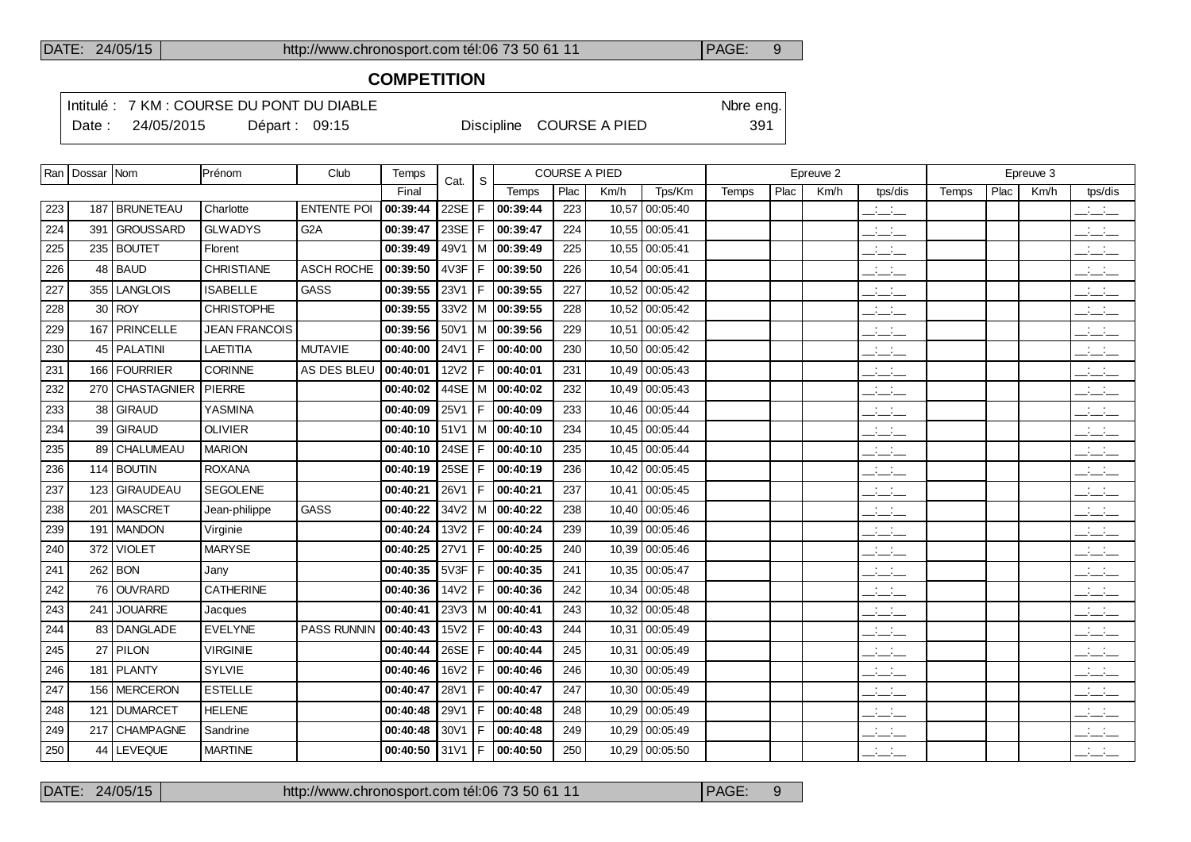# **COMPETITION**

Intitulé : 7 KM : COURSE DU PONT DU DIABLE Note that the state of the SN of the eng. Date : 24/05/2015 Départ : 09:15 Discipline COURSE A PIED 391

|     | Ran   Dossar   Nom |                  | Prénom               | Club               | <b>Temps</b> | Cat.             | -S    |                                  | <b>COURSE A PIED</b> |       |                |       |      | Epreuve 2 |                                                                      |       |      | Epreuve 3 |                                           |
|-----|--------------------|------------------|----------------------|--------------------|--------------|------------------|-------|----------------------------------|----------------------|-------|----------------|-------|------|-----------|----------------------------------------------------------------------|-------|------|-----------|-------------------------------------------|
|     |                    |                  |                      |                    | Final        |                  |       | Temps                            | Plac                 | Km/h  | Tps/Km         | Temps | Plac | Km/h      | tps/dis                                                              | Temps | Plac | Km/h      | tps/dis                                   |
| 223 |                    | 187   BRUNETEAU  | Charlotte            | <b>ENTENTE POI</b> | 00:39:44     | 22SE $ F $       |       | 00:39:44                         | 223                  | 10,57 | 00:05:40       |       |      |           | $\overline{\phantom{a}}$                                             |       |      |           | $\frac{1}{2}$                             |
| 224 |                    | 391 GROUSSARD    | <b>GLWADYS</b>       | G <sub>2</sub> A   | 00:39:47     | 23SE $ F $       |       | 00:39:47                         | 224                  |       | 10,55 00:05:41 |       |      |           | $\frac{1}{2}$                                                        |       |      |           | $\overline{\phantom{a}}$                  |
| 225 |                    | 235 BOUTET       | Florent              |                    | 00:39:49     | 49V1             | l M   | 00:39:49                         | 225                  |       | 10,55 00:05:41 |       |      |           | $  -$                                                                |       |      |           | $\mathbb{Z}$ and $\mathbb{Z}$             |
| 226 |                    | 48 BAUD          | CHRISTIANE           | ASCH ROCHE         | 00:39:50     | 4V3F             | l F.  | 00:39:50                         | 226                  |       | 10,54 00:05:41 |       |      |           | $\overline{\phantom{a}}$                                             |       |      |           | للأسائل                                   |
| 227 |                    | 355 LANGLOIS     | <b>ISABELLE</b>      | <b>GASS</b>        | 00:39:55     | 23V1             | F.    | 00:39:55                         | 227                  |       | 10,52 00:05:42 |       |      |           | $ -$                                                                 |       |      |           | $\mathbb{Z}$ and $\mathbb{Z}$             |
| 228 |                    | $30$ ROY         | <b>CHRISTOPHE</b>    |                    | 00:39:55     |                  |       | $33\sqrt{2}$ M $\sqrt{00:}39:55$ | 228                  |       | 10,52 00:05:42 |       |      |           | $\overline{\phantom{a}}$                                             |       |      |           | للأسائل                                   |
| 229 |                    | 167 PRINCELLE    | <b>JEAN FRANCOIS</b> |                    | 00:39:56     | 50V1             |       | M 00:39:56                       | 229                  | 10,51 | 00:05:42       |       |      |           | $\frac{1}{2}$ and $\frac{1}{2}$                                      |       |      |           | $\mathbb{Z}$ and $\mathbb{Z}$             |
| 230 |                    | 45   PALATINI    | <b>LAETITIA</b>      | <b>MUTAVIE</b>     | 00:40:00     | 24V1             | l F . | 00:40:00                         | 230                  |       | 10,50 00:05:42 |       |      |           | $\frac{1}{2}$ and $\frac{1}{2}$                                      |       |      |           | للأستاني                                  |
| 231 |                    | 166 FOURRIER     | <b>CORINNE</b>       | AS DES BLEU        | 00:40:01     | <b>12V2</b>      | IF.   | 00:40:01                         | 231                  |       | 10,49 00:05:43 |       |      |           | $\frac{1}{2}$ and $\frac{1}{2}$                                      |       |      |           | $\mathbb{R}$ and $\mathbb{R}$             |
| 232 |                    | 270 CHASTAGNIER  | PIERRE               |                    | 00:40:02     |                  |       | 44SE   M   00:40:02              | 232                  |       | 10,49 00:05:43 |       |      |           | $\frac{1}{2}$ and $\frac{1}{2}$                                      |       |      |           | للأسائل                                   |
| 233 | 38                 | <b>GIRAUD</b>    | <b>YASMINA</b>       |                    | 00:40:09     | 25V1             | F     | 00:40:09                         | 233                  |       | 10,46 00:05:44 |       |      |           | $\mathbb{Z}$ and $\mathbb{Z}$                                        |       |      |           | $\overline{\phantom{a}}$                  |
| 234 | 39                 | GIRAUD           | <b>OLIVIER</b>       |                    | 00:40:10     | 51V1             |       | $ M $ 00:40:10                   | 234                  |       | 10,45 00:05:44 |       |      |           | $\frac{1}{2}$ and $\frac{1}{2}$                                      |       |      |           | $\frac{1}{2}$ and $\frac{1}{2}$           |
| 235 | 89                 | <b>CHALUMEAU</b> | <b>MARION</b>        |                    | 00:40:10     | 24SE $ F $       |       | 00:40:10                         | 235                  |       | 10,45 00:05:44 |       |      |           | $\overline{\phantom{a}}$                                             |       |      |           | $\mathbb{R}$ and $\mathbb{R}$             |
| 236 |                    | 114 BOUTIN       | <b>ROXANA</b>        |                    | 00:40:19     | $25SE$   F       |       | 00:40:19                         | 236                  |       | 10,42 00:05:45 |       |      |           | $\mathcal{A}^{\mathcal{A}}$ and $\mathcal{A}^{\mathcal{A}}$<br>$  -$ |       |      |           | <b>Contract</b><br>$  -$                  |
| 237 | 123                | <b>GIRAUDEAU</b> | <b>SEGOLENE</b>      |                    | 00:40:21     | 26V1             | l F.  | 00:40:21                         | 237                  |       | 10,41 00:05:45 |       |      |           | $\frac{1}{2}$ and $\frac{1}{2}$                                      |       |      |           | $\frac{1}{2}$ $\frac{1}{2}$ $\frac{1}{2}$ |
| 238 |                    | 201   MASCRET    | Jean-philippe        | GASS               | 00:40:22     |                  |       | $34V2$   M   00:40:22            | 238                  |       | 10,40 00:05:46 |       |      |           | $\mathbb{Z}$ and $\mathbb{Z}$                                        |       |      |           | <b>Contract</b><br>$  -$                  |
| 239 |                    | 191   MANDON     | Virginie             |                    | 00:40:24     | 13V2             | IF.   | 00:40:24                         | 239                  |       | 10,39 00:05:46 |       |      |           | $\frac{1}{2}$ and $\frac{1}{2}$                                      |       |      |           | بالأسائب                                  |
| 240 | 372                | <b>VIOLET</b>    | <b>MARYSE</b>        |                    | 00:40:25     | 27V1             | l F.  | 00:40:25                         | 240                  |       | 10,39 00:05:46 |       |      |           | <b>Contract</b><br>$  -$                                             |       |      |           | <b>Service</b><br>$  -$                   |
| 241 | 262                | BON              | Jany                 |                    | 00:40:35     | 5V3F             | l F.  | 00:40:35                         | 241                  |       | 10,35 00:05:47 |       |      |           | $\overline{\phantom{a}}$                                             |       |      |           | $\mathbb{Z}$ and $\mathbb{Z}$             |
| 242 |                    | 76 OUVRARD       | <b>CATHERINE</b>     |                    | 00:40:36     | $14V2$   F       |       | 00:40:36                         | 242                  |       | 10,34 00:05:48 |       |      |           | $\overline{\phantom{a}}$                                             |       |      |           | <b>Contract</b><br>$  -$                  |
| 243 | 241                | <b>JOUARRE</b>   | Jacques              |                    | 00:40:41     | <b>23V3</b>      |       | $ M $ 00:40:41                   | 243                  |       | 10,32 00:05:48 |       |      |           | للأسائل                                                              |       |      |           | $\overline{\phantom{a}}$                  |
| 244 |                    | 83   DANGLADE    | <b>EVELYNE</b>       | PASS RUNNIN        | 00:40:43     | 15 <sub>V2</sub> | IF.   | 00:40:43                         | 244                  |       | 10,31 00:05:49 |       |      |           | <b>Contract</b><br>$  -$                                             |       |      |           | $\overline{\phantom{a}}$                  |
| 245 |                    | 27 PILON         | <b>VIRGINIE</b>      |                    | 00:40:44     | $26SE$   F       |       | 00:40:44                         | 245                  |       | 10,31 00:05:49 |       |      |           | $\overline{\phantom{a}}$                                             |       |      |           | $\mathbb{R}$ and $\mathbb{R}$             |
| 246 |                    | 181 PLANTY       | <b>SYLVIE</b>        |                    | 00:40:46     | 16V2             | l F.  | 00:40:46                         | 246                  |       | 10,30 00:05:49 |       |      |           | سأسأب                                                                |       |      |           | $\overline{\phantom{a}}$                  |
| 247 |                    | 156 MERCERON     | <b>ESTELLE</b>       |                    | 00:40:47     | 28V1             | F     | 00:40:47                         | 247                  |       | 10,30 00:05:49 |       |      |           | $\overline{\phantom{a}}$                                             |       |      |           | للأسائل                                   |
| 248 |                    | 121   DUMARCET   | <b>HELENE</b>        |                    | 00:40:48     | 29V1             | F.    | 00:40:48                         | 248                  |       | 10,29 00:05:49 |       |      |           | $\mathbb{Z}$ and $\mathbb{Z}$                                        |       |      |           | للأستاني                                  |
| 249 |                    | 217 CHAMPAGNE    | Sandrine             |                    | 00:40:48     | 30V1             | F.    | 00:40:48                         | 249                  |       | 10,29 00:05:49 |       |      |           | سأسأب                                                                |       |      |           | $\mathcal{L} = \mathcal{L}$               |
| 250 |                    | 44 LEVEQUE       | <b>MARTINE</b>       |                    | 00:40:50     | 31 V 1           | l F I | 00:40:50                         | 250                  |       | 10,29 00:05:50 |       |      |           | $ -$                                                                 |       |      |           | $  -$                                     |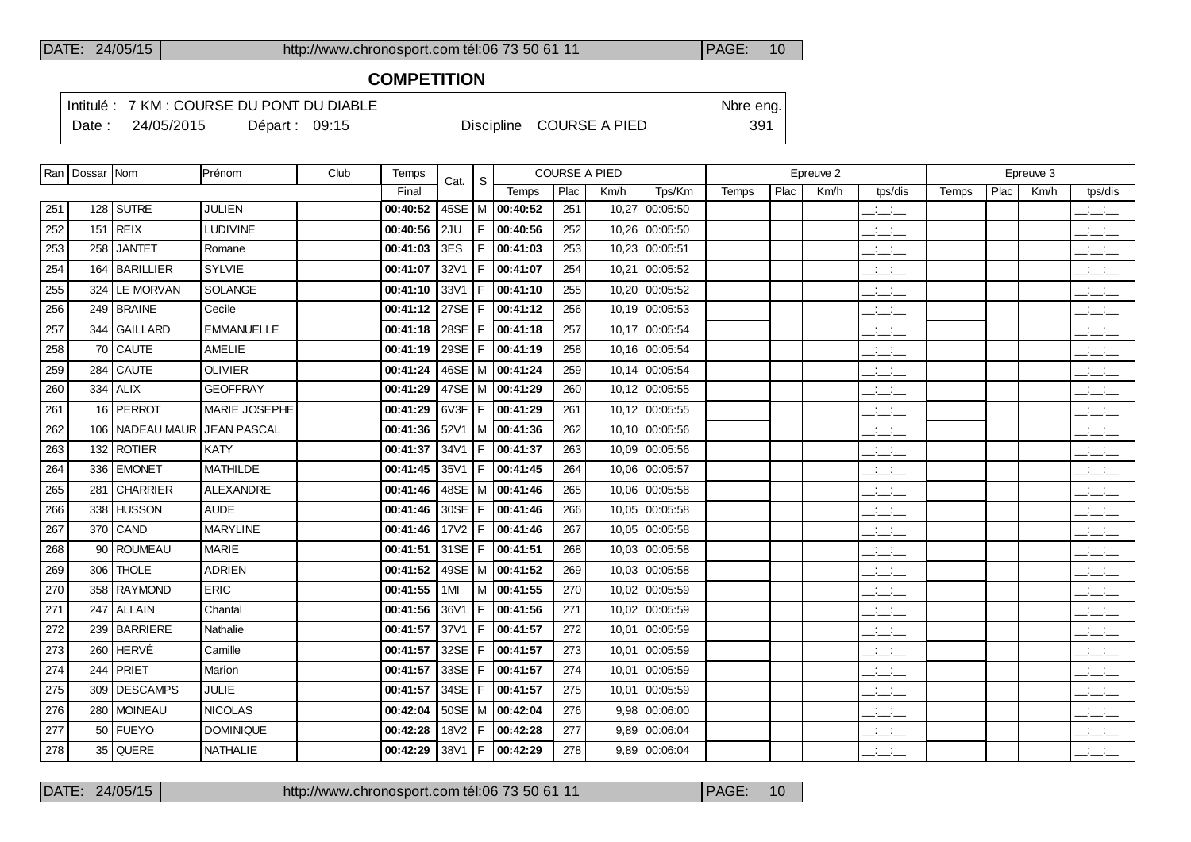## **COMPETITION**

Intitulé : 7 KM : COURSE DU PONT DU DIABLE Note that the state of the SN of the eng. Date : 24/05/2015 Départ : 09:15 Discipline COURSE A PIED 391

|     | Ran   Dossar   Nom |                   | Prénom             | Club | Temps    | Cat.       | S.   |                       |      | <b>COURSE A PIED</b> |                 |       |      | Epreuve 2 |                                                       |       |      | Epreuve 3 |                                                   |
|-----|--------------------|-------------------|--------------------|------|----------|------------|------|-----------------------|------|----------------------|-----------------|-------|------|-----------|-------------------------------------------------------|-------|------|-----------|---------------------------------------------------|
|     |                    |                   |                    |      | Final    |            |      | Temps                 | Plac | Km/h                 | Tps/Km          | Temps | Plac | Km/h      | tps/dis                                               | Temps | Plac | Km/h      | tps/dis                                           |
| 251 |                    | $128$ SUTRE       | <b>JULIEN</b>      |      | 00:40:52 |            |      | 45SE   M   00:40:52   | 251  | 10,27                | 00:05:50        |       |      |           | $\mathbb{R}$ and $\mathbb{R}$                         |       |      |           | $\mathcal{L} = \mathcal{L}$                       |
| 252 |                    | $151$ REIX        | LUDIVINE           |      | 00:40:56 | 2JU        | F    | 00:40:56              | 252  |                      | 10,26 00:05:50  |       |      |           | $\frac{1}{2}$ and $\frac{1}{2}$                       |       |      |           | $\overline{\phantom{a}}$                          |
| 253 |                    | 258 JANTET        | Romane             |      | 00:41:03 | 3ES        |      | F   00:41:03          | 253  |                      | 10,23 00:05:51  |       |      |           | $\overline{\phantom{a}}$ and $\overline{\phantom{a}}$ |       |      |           | $ -$                                              |
| 254 |                    | 164   BARILLIER   | <b>SYLVIE</b>      |      | 00:41:07 | 32V1       | F    | 00:41:07              | 254  |                      | 10,21 00:05:52  |       |      |           | $ -$                                                  |       |      |           | $ -$                                              |
| 255 |                    | 324 LE MORVAN     | <b>SOLANGE</b>     |      | 00:41:10 | 33V1       | F.   | 00:41:10              | 255  |                      | 10,20 00:05:52  |       |      |           | $  -$                                                 |       |      |           | $\overline{\phantom{a}}$                          |
| 256 |                    | 249 BRAINE        | Cecile             |      | 00:41:12 | 27SE $ F $ |      | 00:41:12              | 256  |                      | 10.19 00:05:53  |       |      |           | $ -$                                                  |       |      |           | $ -$                                              |
| 257 |                    | 344 GAILLARD      | <b>EMMANUELLE</b>  |      | 00:41:18 |            |      | 28SE   F   00:41:18   | 257  |                      | 10.17 00:05:54  |       |      |           | $  -$                                                 |       |      |           | $  -$                                             |
| 258 |                    | 70 CAUTE          | <b>AMELIE</b>      |      | 00:41:19 | 29SE $ F $ |      | 00:41:19              | 258  |                      | 10.16 00:05:54  |       |      |           | $ -$                                                  |       |      |           | للتأسيات                                          |
| 259 |                    | $284$ CAUTE       | <b>OLIVIER</b>     |      | 00:41:24 |            |      | 46SE   M   00:41:24   | 259  |                      | 10.14 00:05:54  |       |      |           | <b>Contract Contract</b><br>$  -$                     |       |      |           | $\overline{\phantom{a}}$                          |
| 260 |                    | $334$ ALIX        | <b>GEOFFRAY</b>    |      | 00:41:29 |            |      | 47SE   M   00:41:29   | 260  |                      | 10.12 00:05:55  |       |      |           | $\overline{\phantom{a}}$                              |       |      |           | $\overline{\phantom{a}}$                          |
| 261 |                    | 16 PERROT         | MARIE JOSEPHE      |      | 00:41:29 |            |      | 6V3F   F   00:41:29   | 261  |                      | 10.12 00:05:55  |       |      |           | المنافسات                                             |       |      |           | $\overline{\phantom{a}}$                          |
| 262 |                    | 106   NADEAU MAUR | <b>JEAN PASCAL</b> |      | 00:41:36 |            |      | $52V1$   M   00:41:36 | 262  |                      | 10,10 00:05:56  |       |      |           | $ -$                                                  |       |      |           | $\overline{\phantom{a}}$                          |
| 263 |                    | 132 ROTIER        | <b>KATY</b>        |      | 00:41:37 | 34V1       |      | $F$ 00:41:37          | 263  |                      | 10.09 00:05:56  |       |      |           | $  -$                                                 |       |      |           | $\frac{1}{2}$ $\frac{1}{2}$ $\frac{1}{2}$         |
| 264 |                    | 336 EMONET        | <b>MATHILDE</b>    |      | 00:41:45 | 35V1       |      | F 00:41:45            | 264  |                      | 10.06 00:05:57  |       |      |           | $  -$                                                 |       |      |           | $\mathbb{Z}$ and $\mathbb{Z}$                     |
| 265 |                    | 281 CHARRIER      | ALEXANDRE          |      | 00:41:46 |            |      | 48SE   M   00:41:46   | 265  |                      | 10,06 00:05:58  |       |      |           | $ -$                                                  |       |      |           | $\frac{1}{2}$ and $\frac{1}{2}$                   |
| 266 |                    | 338 HUSSON        | <b>AUDE</b>        |      | 00:41:46 | 30SE       | l F. | 00:41:46              | 266  |                      | 10.05 00:05:58  |       |      |           | $ -$                                                  |       |      |           | $\overline{\phantom{a}}$ $\overline{\phantom{a}}$ |
| 267 |                    | 370 CAND          | <b>MARYLINE</b>    |      | 00:41:46 | 17V2       |      | F 00:41:46            | 267  |                      | 10.05 00:05:58  |       |      |           | $\frac{1}{2}$ and $\frac{1}{2}$                       |       |      |           | $\frac{1}{2}$ $\frac{1}{2}$ $\frac{1}{2}$         |
| 268 |                    | 90   ROUMEAU      | <b>MARIE</b>       |      | 00:41:51 | $31SE$   F |      | 00:41:51              | 268  |                      | 10.03 00:05:58  |       |      |           | $ -$                                                  |       |      |           | $\frac{1}{2}$ and $\frac{1}{2}$                   |
| 269 |                    | 306 THOLE         | <b>ADRIEN</b>      |      | 00:41:52 |            |      | 49SE   M   00:41:52   | 269  |                      | 10.03 00:05:58  |       |      |           | $\frac{1}{2}$ and $\frac{1}{2}$                       |       |      |           | $\frac{1}{2}$ $\frac{1}{2}$ $\frac{1}{2}$         |
| 270 |                    | 358   RAYMOND     | <b>ERIC</b>        |      | 00:41:55 | 1MI        |      | M   00:41:55          | 270  |                      | 10,02 00:05:59  |       |      |           | $ -$                                                  |       |      |           | $ -$                                              |
| 271 |                    | 247 ALLAIN        | Chantal            |      | 00:41:56 | 36V1       | F.   | 00:41:56              | 271  |                      | 10.02 00:05:59  |       |      |           | $\overline{\phantom{a}}$                              |       |      |           | $\frac{1}{2}$ $\frac{1}{2}$ $\frac{1}{2}$         |
| 272 |                    | 239 BARRIERE      | Nathalie           |      | 00:41:57 | 37V1       | F    | 00:41:57              | 272  |                      | 10,01 00:05:59  |       |      |           | $\overline{\phantom{a}}$                              |       |      |           | $\mathbb{R}$ and $\mathbb{R}$                     |
| 273 |                    | 260 HERVÉ         | Camille            |      | 00:41:57 | 32SE       | F    | 00:41:57              | 273  |                      | 10,01 00:05:59  |       |      |           | $\overline{\phantom{a}}$                              |       |      |           | $\overline{\phantom{a}}$                          |
| 274 |                    | $244$ PRIET       | Marion             |      | 00:41:57 | 33SE       | F    | 00:41:57              | 274  |                      | 10,01 00:05:59  |       |      |           | $\overline{\phantom{a}}$                              |       |      |           | $\frac{1}{2}$ $\frac{1}{2}$ $\frac{1}{2}$         |
| 275 |                    | 309 DESCAMPS      | <b>JULIE</b>       |      | 00:41:57 | 34SE       | F    | 00:41:57              | 275  |                      | 10.01 00:05:59  |       |      |           | $\frac{1}{2}$ and $\frac{1}{2}$                       |       |      |           | $  -$                                             |
| 276 |                    | 280 MOINEAU       | <b>NICOLAS</b>     |      | 00:42:04 |            |      | $50SE$   M   00:42:04 | 276  |                      | $9,98$ 00:06:00 |       |      |           | $\overline{\phantom{a}}$                              |       |      |           | $ -$                                              |
| 277 |                    | 50 FUEYO          | <b>DOMINIQUE</b>   |      | 00:42:28 | 18V2       | F.   | 00:42:28              | 277  |                      | 9,89 00:06:04   |       |      |           | $\overline{\phantom{a}}$                              |       |      |           | $  -$                                             |
| 278 |                    | 35 QUERE          | <b>NATHALIE</b>    |      | 00:42:29 |            |      | 38V1   F   00:42:29   | 278  |                      | 9,89 00:06:04   |       |      |           | <b>Contract</b><br>$  -$                              |       |      |           | $\frac{1}{2}$ and $\frac{1}{2}$                   |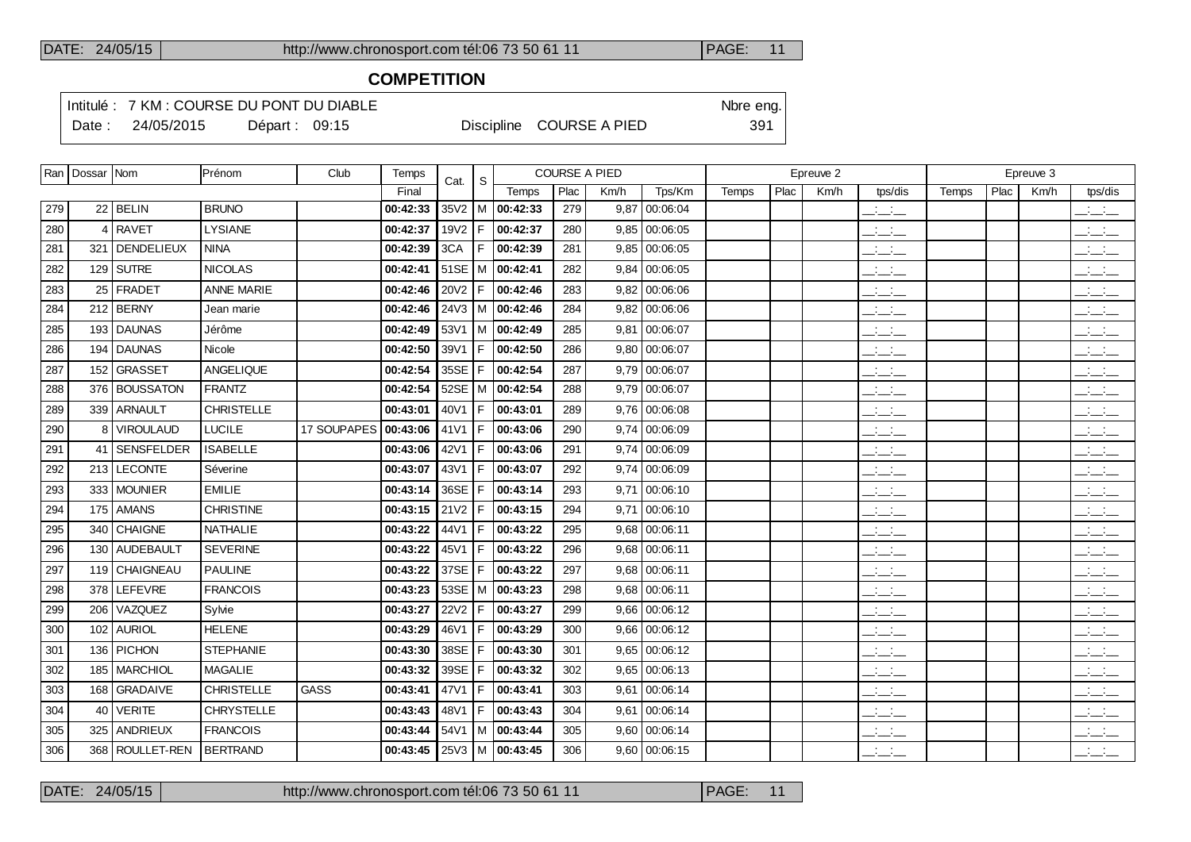# **COMPETITION**

Intitulé : 7 KM : COURSE DU PONT DU DIABLE Note that the state of the SN of the eng. Date : 24/05/2015 Départ : 09:15 Discipline COURSE A PIED 391

|     | Ran   Dossar   Nom |                   | Prénom            | Club        | Temps    | Cat.       | S   |                             | <b>COURSE A PIED</b> |      |                 |              |      | Epreuve 2 |                                                                      |       |      | Epreuve 3 |                                                   |
|-----|--------------------|-------------------|-------------------|-------------|----------|------------|-----|-----------------------------|----------------------|------|-----------------|--------------|------|-----------|----------------------------------------------------------------------|-------|------|-----------|---------------------------------------------------|
|     |                    |                   |                   |             | Final    |            |     | Temps                       | Plac                 | Km/h | Tps/Km          | <b>Temps</b> | Plac | Km/h      | tps/dis                                                              | Temps | Plac | Km/h      | tps/dis                                           |
| 279 |                    | $22$ BELIN        | <b>BRUNO</b>      |             | 00:42:33 |            |     | $35\sqrt{2}$   M   00:42:33 | 279                  |      | $9,87$ 00:06:04 |              |      |           | $\overline{\phantom{a}}$                                             |       |      |           | $\frac{1}{2}$ and $\frac{1}{2}$                   |
| 280 | 4                  | <b>RAVET</b>      | LYSIANE           |             | 00:42:37 | 19V2 $ F $ |     | 00:42:37                    | 280                  |      | $9,85$ 00:06:05 |              |      |           | $\mathbb{Z}$ and $\mathbb{Z}$                                        |       |      |           | $\frac{1}{2}$ and $\frac{1}{2}$                   |
| 281 |                    | 321   DENDELIEUX  | <b>NINA</b>       |             | 00:42:39 | 3CA        |     | F 00:42:39                  | 281                  |      | 9,85 00:06:05   |              |      |           | $\overline{\phantom{a}}$                                             |       |      |           | $\overline{\phantom{a}}$                          |
| 282 |                    | $129$ SUTRE       | <b>NICOLAS</b>    |             | 00:42:41 |            |     | 51SE   M $ $ 00:42:41       | 282                  |      | $9,84$ 00:06:05 |              |      |           | $ -$                                                                 |       |      |           | $\frac{1}{2}$ and $\frac{1}{2}$                   |
| 283 |                    | 25   FRADET       | <b>ANNE MARIE</b> |             | 00:42:46 | 20V2       | IF. | 00:42:46                    | 283                  |      | $9,82$ 00:06:06 |              |      |           | $ -$                                                                 |       |      |           | $\overline{\phantom{a}}$ $\overline{\phantom{a}}$ |
| 284 |                    | $212$ BERNY       | Jean marie        |             | 00:42:46 |            |     | 24V3   M   00:42:46         | 284                  |      | $9,82$ 00:06:06 |              |      |           | $\frac{1}{2}$ and $\frac{1}{2}$                                      |       |      |           | $\frac{1}{2}$ and $\frac{1}{2}$                   |
| 285 |                    | 193 DAUNAS        | Jérôme            |             | 00:42:49 |            |     | 53V1   M $ $ 00:42:49       | 285                  |      | $9,81$ 00:06:07 |              |      |           | للمناصب                                                              |       |      |           | للأسائل                                           |
| 286 |                    | 194 DAUNAS        | Nicole            |             | 00:42:50 | 39V1   F   |     | 00:42:50                    | 286                  |      | $9,80$ 00:06:07 |              |      |           | $ -$                                                                 |       |      |           | $\overline{\phantom{a}}$                          |
| 287 |                    | 152 GRASSET       | ANGELIQUE         |             | 00:42:54 | $35SE$   F |     | 00:42:54                    | 287                  |      | $9,79$ 00:06:07 |              |      |           | $\frac{1}{2}$ and $\frac{1}{2}$                                      |       |      |           | $  -$                                             |
| 288 |                    | 376 BOUSSATON     | <b>FRANTZ</b>     |             | 00:42:54 |            |     | 52SE   M   00:42:54         | 288                  |      | $9,79$ 00:06:07 |              |      |           | للمستحق                                                              |       |      |           | $\frac{1}{2}$ and $\frac{1}{2}$                   |
| 289 |                    | 339 ARNAULT       | <b>CHRISTELLE</b> |             | 00:43:01 | $40V1$ F   |     | 00:43:01                    | 289                  |      | $9,76$ 00:06:08 |              |      |           | $\frac{1}{2}$ and $\frac{1}{2}$                                      |       |      |           | $-1$                                              |
| 290 |                    | 8 VIROULAUD       | <b>LUCILE</b>     | 17 SOUPAPES | 00:43:06 | 41V1 $ F $ |     | 00:43:06                    | 290                  |      | $9,74$ 00:06:09 |              |      |           | للمستحق                                                              |       |      |           | $\overline{\phantom{a}}$ $\overline{\phantom{a}}$ |
| 291 |                    | 41 SENSFELDER     | <b>ISABELLE</b>   |             | 00:43:06 |            |     | 42V1   F   00:43:06         | 291                  |      | 9,74 00:06:09   |              |      |           | $\overline{\phantom{a}}$                                             |       |      |           | $\frac{1}{2}$                                     |
| 292 |                    | 213 LECONTE       | Séverine          |             | 00:43:07 | 43V1       | F.  | 00:43:07                    | 292                  |      | 9,74 00:06:09   |              |      |           | $\mathcal{L} = \mathcal{L}$                                          |       |      |           | $ -$                                              |
| 293 |                    | 333 MOUNIER       | <b>EMILIE</b>     |             | 00:43:14 | $36SE$ $F$ |     | 00:43:14                    | 293                  |      | $9,71$ 00:06:10 |              |      |           | $  -$                                                                |       |      |           | $\frac{1}{2}$ $\frac{1}{2}$ $\frac{1}{2}$         |
| 294 |                    | 175 AMANS         | <b>CHRISTINE</b>  |             | 00:43:15 | $21V2$ F   |     | 00:43:15                    | 294                  |      | $9,71$ 00:06:10 |              |      |           | $\overline{\phantom{a}}$                                             |       |      |           | $\overline{\phantom{a}}$                          |
| 295 |                    | 340 CHAIGNE       | NATHALIE          |             | 00:43:22 | 44V1   F   |     | 00:43:22                    | 295                  |      | 9,68 00:06:11   |              |      |           | $\overline{\phantom{a}}$                                             |       |      |           | $\mathbb{R}$ and $\mathbb{R}$                     |
| 296 |                    | 130 AUDEBAULT     | <b>SEVERINE</b>   |             | 00:43:22 | $45V1$   F |     | 00:43:22                    | 296                  |      | $9,68$ 00:06:11 |              |      |           | للمناصب                                                              |       |      |           | $\overline{\phantom{a}}$                          |
| 297 |                    | 119 CHAIGNEAU     | <b>PAULINE</b>    |             | 00:43:22 | 37SE $ F $ |     | 00:43:22                    | 297                  |      | $9,68$ 00:06:11 |              |      |           | للأساد                                                               |       |      |           | $\overline{\phantom{a}}$                          |
| 298 |                    | 378 LEFEVRE       | <b>FRANCOIS</b>   |             | 00:43:23 |            |     | 53SE   M $ $ 00:43:23       | 298                  |      | 9,68 00:06:11   |              |      |           | $\mathcal{L} = \mathcal{L}$                                          |       |      |           | $ -$                                              |
| 299 |                    | 206 VAZQUEZ       | Sylvie            |             | 00:43:27 | $22V2$ F   |     | 00:43:27                    | 299                  |      | $9,66$ 00:06:12 |              |      |           | $\mathcal{A}^{\mathcal{A}}$ and $\mathcal{A}^{\mathcal{A}}$<br>$  -$ |       |      |           | <b>Contract</b><br>$  -$                          |
| 300 |                    | 102 AURIOL        | <b>HELENE</b>     |             | 00:43:29 | $46V1$ F   |     | 00:43:29                    | 300                  |      | $9,66$ 00:06:12 |              |      |           | للمناسب                                                              |       |      |           | بانبانيا                                          |
| 301 |                    | 136   PICHON      | <b>STEPHANIE</b>  |             | 00:43:30 | $38SE$   F |     | 00:43:30                    | 301                  |      | $9,65$ 00:06:12 |              |      |           | للمناسب                                                              |       |      |           | بالباب                                            |
| 302 |                    | 185   MARCHIOL    | <b>MAGALIE</b>    |             | 00:43:32 | 39SE       | IF. | 00:43:32                    | 302                  |      | 9.65   00:06:13 |              |      |           | للمستحق                                                              |       |      |           | $\frac{1}{2}$                                     |
| 303 |                    | 168 GRADAIVE      | <b>CHRISTELLE</b> | <b>GASS</b> | 00:43:41 | 47V1   F   |     | 00:43:41                    | 303                  |      | $9,61$ 00:06:14 |              |      |           | $\frac{1}{2}$                                                        |       |      |           | $\frac{1}{2}$                                     |
| 304 |                    | $40$ VERITE       | <b>CHRYSTELLE</b> |             | 00:43:43 |            |     | 48V1   F   00:43:43         | 304                  |      | 9,61 00:06:14   |              |      |           | $\overline{\phantom{a}}$                                             |       |      |           | $\overline{\phantom{a}}$                          |
| 305 |                    | 325   ANDRIEUX    | <b>FRANCOIS</b>   |             | 00:43:44 |            |     | $54V1$   M   00:43:44       | 305                  |      | $9,60$ 00:06:14 |              |      |           | $ -$                                                                 |       |      |           | $\mathbb{R}$ and $\mathbb{R}$                     |
| 306 |                    | 368   ROULLET-REN | <b>BERTRAND</b>   |             | 00:43:45 |            |     | 25V3   M   00:43:45         | 306                  |      | $9,60$ 00:06:15 |              |      |           | $\overline{a}$                                                       |       |      |           | $\overline{\phantom{a}}$                          |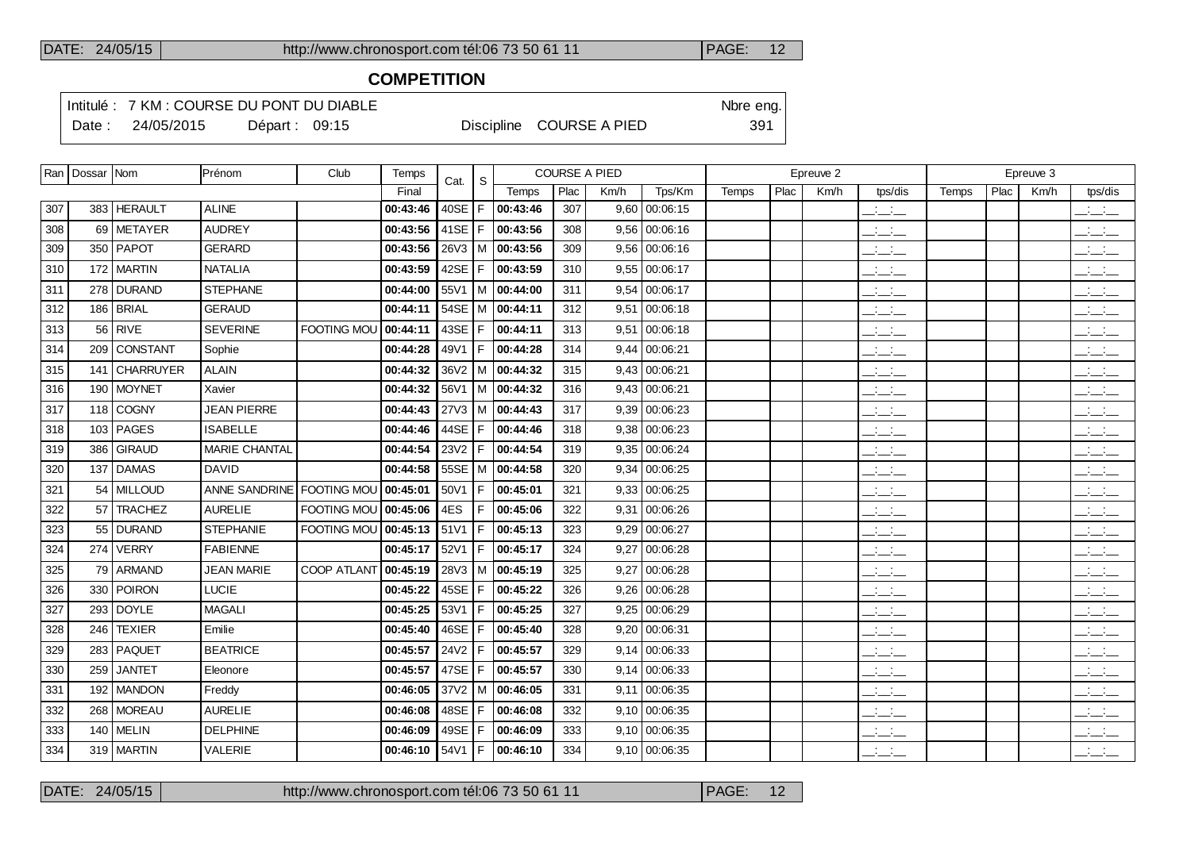## **COMPETITION**

Intitulé : 7 KM : COURSE DU PONT DU DIABLE Note that the state of the SN of the eng. Date : 24/05/2015 Départ : 09:15 Discipline COURSE A PIED 391

|     | Ran   Dossar   Nom |                | Prénom                    | Club               | Temps    | Cat.       | <sub>S</sub> |                           |      | <b>COURSE A PIED</b> |                 |       |      | Epreuve 2 |                                 |       |      | Epreuve 3 |                                                   |
|-----|--------------------|----------------|---------------------------|--------------------|----------|------------|--------------|---------------------------|------|----------------------|-----------------|-------|------|-----------|---------------------------------|-------|------|-----------|---------------------------------------------------|
|     |                    |                |                           |                    | Final    |            |              | Temps                     | Plac | Km/h                 | Tps/Km          | Temps | Plac | Km/h      | tps/dis                         | Temps | Plac | Km/h      | tps/dis                                           |
| 307 |                    | 383 HERAULT    | <b>ALINE</b>              |                    | 00:43:46 | 40SE       | F            | 00:43:46                  | 307  |                      | $9,60$ 00:06:15 |       |      |           | $ -$                            |       |      |           | $\frac{1}{2}$ and $\frac{1}{2}$                   |
| 308 |                    | 69 METAYER     | <b>AUDREY</b>             |                    | 00:43:56 | 41SE $ F $ |              | 00:43:56                  | 308  | 9.56                 | 00:06:16        |       |      |           | $ -$                            |       |      |           | $ -$                                              |
| 309 |                    | 350 PAPOT      | <b>GERARD</b>             |                    | 00:43:56 |            |              | 26V3   M   00:43:56       | 309  |                      | $9,56$ 00:06:16 |       |      |           | $\mathbb{R}$ and $\mathbb{R}$   |       |      |           | $\overline{\phantom{a}}$                          |
| 310 |                    | 172 MARTIN     | <b>NATALIA</b>            |                    | 00:43:59 | 42SE       | F            | 00:43:59                  | 310  |                      | $9,55$ 00:06:17 |       |      |           | $\overline{\phantom{a}}$        |       |      |           | $\mathbb{R}$ and $\mathbb{R}$                     |
| 311 |                    | 278 DURAND     | <b>STEPHANE</b>           |                    | 00:44:00 |            |              | 55V1   M $ $ 00:44:00     | 311  |                      | $9,54$ 00:06:17 |       |      |           | $\overline{\phantom{a}}$        |       |      |           | $\overline{\phantom{a}}$                          |
| 312 |                    | 186   BRIAL    | <b>GERAUD</b>             |                    | 00:44:11 | 54SE   M   |              | 00:44:11                  | 312  |                      | $9,51$ 00:06:18 |       |      |           | $ -$                            |       |      |           | $ -$                                              |
| 313 |                    | $56$ RIVE      | <b>SEVERINE</b>           | <b>FOOTING MOU</b> | 00:44:11 | 43SE       | l F          | 00:44:11                  | 313  |                      | $9,51$ 00:06:18 |       |      |           | $\overline{\phantom{a}}$        |       |      |           | للأسائل                                           |
| 314 |                    | 209 CONSTANT   | Sophie                    |                    | 00:44:28 | 49V1       | F            | 00:44:28                  | 314  | 9.44                 | 00:06:21        |       |      |           | $ -$                            |       |      |           | $ -$                                              |
| 315 |                    | 141 CHARRUYER  | <b>ALAIN</b>              |                    | 00:44:32 |            |              | $36\sqrt{2}$ M   00:44:32 | 315  |                      | $9,43$ 00:06:21 |       |      |           | سأسأب                           |       |      |           | $ -$                                              |
| 316 |                    | 190 MOYNET     | Xavier                    |                    | 00:44:32 |            |              | 56V1 M 00:44:32           | 316  |                      | $9,43$ 00:06:21 |       |      |           | $\mathcal{L} = \mathcal{L}$     |       |      |           | $\overline{\phantom{a}}$                          |
| 317 |                    | 118 COGNY      | <b>JEAN PIERRE</b>        |                    | 00:44:43 |            |              | 27V3   M   00:44:43       | 317  |                      | $9,39$ 00:06:23 |       |      |           | سأسأب                           |       |      |           | $ -$                                              |
| 318 |                    | $103$ PAGES    | <b>ISABELLE</b>           |                    | 00:44:46 | 44SE       | F            | 00:44:46                  | 318  |                      | $9,38$ 00:06:23 |       |      |           | $\mathcal{L} = \mathcal{L}$     |       |      |           | بالأسائب                                          |
| 319 |                    | 386 GIRAUD     | MARIE CHANTAL             |                    | 00:44:54 | 23V2       | F            | 00:44:54                  | 319  |                      | 9,35 00:06:24   |       |      |           | $\mathcal{L} = \mathcal{L}$     |       |      |           | $ -$                                              |
| 320 |                    | 137 DAMAS      | <b>DAVID</b>              |                    | 00:44:58 | $55SE$   M |              | 00:44:58                  | 320  |                      | 9,34   00:06:25 |       |      |           | $\frac{1}{2}$ and $\frac{1}{2}$ |       |      |           | $\mathbb{Z}$ and $\mathbb{Z}$                     |
| 321 |                    | 54   MILLOUD   | ANNE SANDRINE FOOTING MOU |                    | 00:45:01 | 50V1       | F            | 00:45:01                  | 321  |                      | 9,33   00:06:25 |       |      |           | $\frac{1}{2}$ and $\frac{1}{2}$ |       |      |           | للأسائل                                           |
| 322 | 57                 | <b>TRACHEZ</b> | <b>AURELIE</b>            | <b>FOOTING MOU</b> | 00:45:06 | 4ES        | F            | 00:45:06                  | 322  |                      | $9,31$ 00:06:26 |       |      |           | $ -$                            |       |      |           | للأسائل                                           |
| 323 |                    | 55 DURAND      | <b>STEPHANIE</b>          | <b>FOOTING MOU</b> | 00:45:13 | 51V1       | F            | 00:45:13                  | 323  | 9.29                 | 00:06:27        |       |      |           | $\overline{\phantom{a}}$        |       |      |           | $\overline{\phantom{a}}$                          |
| 324 |                    | 274 VERRY      | <b>FABIENNE</b>           |                    | 00:45:17 | 52V1       | F            | 00:45:17                  | 324  | 9.27                 | 00:06:28        |       |      |           | $\overline{\phantom{a}}$        |       |      |           | $\frac{1}{2}$                                     |
| 325 |                    | 79 ARMAND      | <b>JEAN MARIE</b>         | <b>COOP ATLANT</b> | 00:45:19 |            |              | 28V3   M   00:45:19       | 325  |                      | $9,27$ 00:06:28 |       |      |           | للمستحق                         |       |      |           | للأسائل                                           |
| 326 |                    | 330 POIRON     | <b>LUCIE</b>              |                    | 00:45:22 | 45SE       | F            | 00:45:22                  | 326  |                      | $9,26$ 00:06:28 |       |      |           | $ -$                            |       |      |           | $  -$                                             |
| 327 |                    | 293 DOYLE      | <b>MAGALI</b>             |                    | 00:45:25 | 53V1       | F            | 00:45:25                  | 327  |                      | 9,25 00:06:29   |       |      |           | سأسأب                           |       |      |           | $ -$                                              |
| 328 | 246                | <b>TEXIER</b>  | Emilie                    |                    | 00:45:40 | 46SE       | F            | 00:45:40                  | 328  | 9,20                 | 00:06:31        |       |      |           | $\frac{1}{2}$ and $\frac{1}{2}$ |       |      |           | $  -$                                             |
| 329 |                    | 283   PAQUET   | <b>BEATRICE</b>           |                    | 00:45:57 | 24V2       | F            | 00:45:57                  | 329  |                      | $9,14$ 00:06:33 |       |      |           | $ -$                            |       |      |           | $  -$                                             |
| 330 | 259 l              | <b>JANTET</b>  | Eleonore                  |                    | 00:45:57 | 47SE       | F            | 00:45:57                  | 330  |                      | $9,14$ 00:06:33 |       |      |           | $\frac{1}{2}$ and $\frac{1}{2}$ |       |      |           | للأسائل                                           |
| 331 |                    | 192   MANDON   | Freddy                    |                    | 00:46:05 | 37V2       |              | M   00:46:05              | 331  |                      | $9,11$ 00:06:35 |       |      |           | $\frac{1}{2}$ and $\frac{1}{2}$ |       |      |           | $\overline{\phantom{a}}$ $\overline{\phantom{a}}$ |
| 332 |                    | 268   MOREAU   | <b>AURELIE</b>            |                    | 00:46:08 | 48SE       | F            | 00:46:08                  | 332  | 9.10                 | 00:06:35        |       |      |           | $\frac{1}{2}$ and $\frac{1}{2}$ |       |      |           | $  -$                                             |
| 333 |                    | 140   MELIN    | <b>DELPHINE</b>           |                    | 00:46:09 | 49SE       | F            | 00:46:09                  | 333  |                      | $9,10$ 00:06:35 |       |      |           | $ -$                            |       |      |           | $  -$                                             |
| 334 |                    | 319   MARTIN   | VALERIE                   |                    | 00:46:10 | 54V1       | F            | 00:46:10                  | 334  |                      | 9,10 00:06:35   |       |      |           | $ -$                            |       |      |           | $ -$                                              |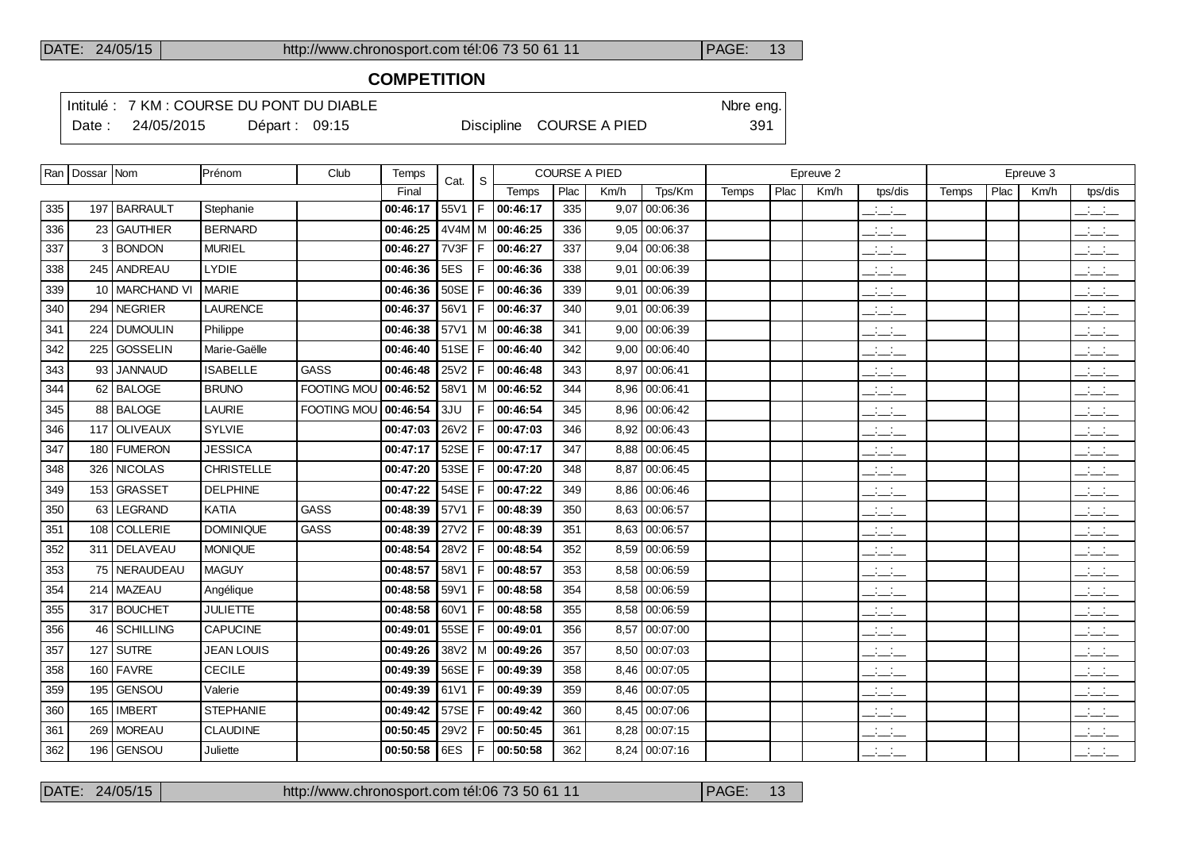## **COMPETITION**

Intitulé : 7 KM : COURSE DU PONT DU DIABLE Note that the state of the SN of the eng. Date : 24/05/2015 Départ : 09:15 Discipline COURSE A PIED 391

|     | Ran   Dossar   Nom |                  | Prénom            | Club               | Temps            | Cat.        | S   | <b>COURSE A PIED</b> |      |      |                 | Epreuve 2 |      |      |                                 | Epreuve 3 |      |      |                                                   |
|-----|--------------------|------------------|-------------------|--------------------|------------------|-------------|-----|----------------------|------|------|-----------------|-----------|------|------|---------------------------------|-----------|------|------|---------------------------------------------------|
|     |                    |                  |                   |                    | Final            |             |     | Temps                | Plac | Km/h | Tps/Km          | Temps     | Plac | Km/h | tps/dis                         | Temps     | Plac | Km/h | tps/dis                                           |
| 335 |                    | 197   BARRAULT   | Stephanie         |                    | 00:46:17         | 55V1        | F   | 00:46:17             | 335  |      | $9,07$ 00:06:36 |           |      |      | $\overline{\phantom{a}}$        |           |      |      | $\overline{\phantom{a}}$                          |
| 336 |                    | 23 GAUTHIER      | <b>BERNARD</b>    |                    | 00:46:25         |             |     | 4V4M M 00:46:25      | 336  |      | $9,05$ 00:06:37 |           |      |      | $\frac{1}{2}$                   |           |      |      | $\frac{1}{2}$                                     |
| 337 |                    | 3 BONDON         | <b>MURIEL</b>     |                    | 00:46:27         | 7V3F        | l F | 00:46:27             | 337  |      | $9,04$ 00:06:38 |           |      |      | $ -$                            |           |      |      | $ -$                                              |
| 338 |                    | 245 ANDREAU      | LYDIE             |                    | 00:46:36         | 5ES         |     | 00:46:36             | 338  |      | 9,01 00:06:39   |           |      |      | $\mathbb{Z}$ and $\mathbb{Z}$   |           |      |      | $\mathbb{R}$ and $\mathbb{R}$                     |
| 339 |                    | 10   MARCHAND VI | <b>MARIE</b>      |                    | 00:46:36         | <b>50SE</b> | F   | 00:46:36             | 339  |      | $9,01$ 00:06:39 |           |      |      | للأساس                          |           |      |      | $\overline{\phantom{a}}$                          |
| 340 |                    | 294 NEGRIER      | <b>LAURENCE</b>   |                    | 00:46:37         | 56V1        | F   | 00:46:37             | 340  |      | $9,01$ 00:06:39 |           |      |      | $\overline{\phantom{a}}$        |           |      |      | $\frac{1}{2}$ and $\frac{1}{2}$                   |
| 341 |                    | 224 DUMOULIN     | Philippe          |                    | 00:46:38         |             |     | 57V1   M   00:46:38  | 341  |      | $9,00$ 00:06:39 |           |      |      | للمناصب                         |           |      |      | $\frac{1}{2}$                                     |
| 342 |                    | 225 GOSSELIN     | Marie-Gaëlle      |                    | 00:46:40         | 51SE        | F   | 00:46:40             | 342  |      | $9,00$ 00:06:40 |           |      |      | $\Box \Box \Box$                |           |      |      | $\frac{1}{2}$ and $\frac{1}{2}$                   |
| 343 |                    | 93 JANNAUD       | <b>ISABELLE</b>   | <b>GASS</b>        | 00:46:48         | 25V2        | F   | 00:46:48             | 343  |      | 8,97 00:06:41   |           |      |      | $\frac{1}{2}$ and $\frac{1}{2}$ |           |      |      | $  -$                                             |
| 344 |                    | 62 BALOGE        | <b>BRUNO</b>      | <b>FOOTING MOU</b> | 00:46:52         | 58V1        |     | M 00:46:52           | 344  |      | 8,96 00:06:41   |           |      |      | $\frac{1}{2}$ and $\frac{1}{2}$ |           |      |      | للأسائب                                           |
| 345 |                    | 88 BALOGE        | LAURIE            | FOOTING MOU        | 00:46:54         | 3JU         | F   | 00:46:54             | 345  |      | 8,96 00:06:42   |           |      |      | $\frac{1}{2}$                   |           |      |      | $\mathbb{R}$ and $\mathbb{R}$                     |
| 346 |                    | 117 OLIVEAUX     | <b>SYLVIE</b>     |                    | 00:47:03         | 26V2        |     | 00:47:03             | 346  |      | 8,92 00:06:43   |           |      |      | $ -$                            |           |      |      | $ -$                                              |
| 347 |                    | 180   FUMERON    | <b>JESSICA</b>    |                    | 00:47:17         | 52SE        | F   | 00:47:17             | 347  |      | 8,88 00:06:45   |           |      |      | $ -$                            |           |      |      | $\overline{\phantom{a}}$                          |
| 348 |                    | 326 NICOLAS      | <b>CHRISTELLE</b> |                    | 00:47:20         | 53SE        | F   | 00:47:20             | 348  |      | 8,87 00:06:45   |           |      |      | $\overline{\phantom{a}}$        |           |      |      | للأسائب                                           |
| 349 |                    | 153 GRASSET      | <b>DELPHINE</b>   |                    | 00:47:22         | 54SE        | F   | 00:47:22             | 349  |      | 8,86 00:06:46   |           |      |      | $ -$                            |           |      |      | $\frac{1}{2}$ $\frac{1}{2}$ $\frac{1}{2}$         |
| 350 |                    | 63   LEGRAND     | KATIA             | <b>GASS</b>        | 00:48:39         | 57V1        |     | 00:48:39             | 350  |      | 8,63 00:06:57   |           |      |      | $\overline{\phantom{a}}$        |           |      |      | $\frac{1}{2}$                                     |
| 351 |                    | 108 COLLERIE     | <b>DOMINIQUE</b>  | <b>GASS</b>        | 00:48:39         | 27V2        |     | 00:48:39             | 351  |      | 8,63 00:06:57   |           |      |      | للأسائل                         |           |      |      | $\overline{\phantom{a}}$                          |
| 352 |                    | 311 DELAVEAU     | <b>MONIQUE</b>    |                    | 00:48:54         | 28V2        | F   | 00:48:54             | 352  |      | 8,59 00:06:59   |           |      |      | $\overline{\phantom{a}}$        |           |      |      | $\frac{1}{2}$ $\frac{1}{2}$ $\frac{1}{2}$         |
| 353 |                    | 75 NERAUDEAU     | <b>MAGUY</b>      |                    | 00:48:57         | 58V1        |     | 00:48:57             | 353  |      | 8,58 00:06:59   |           |      |      | للمناصب                         |           |      |      | $\overline{\phantom{a}}$                          |
| 354 |                    | 214   MAZEAU     | Angélique         |                    | 00:48:58         | 59V1        | F   | 00:48:58             | 354  |      | 8,58 00:06:59   |           |      |      | $\frac{1}{2}$ and $\frac{1}{2}$ |           |      |      | $\frac{1}{2}$ and $\frac{1}{2}$                   |
| 355 |                    | 317 BOUCHET      | <b>JULIETTE</b>   |                    | 00:48:58         | 60V1        |     | 00:48:58             | 355  |      | 8,58 00:06:59   |           |      |      | $\overline{\phantom{a}}$        |           |      |      | $\mathbb{Z}$ and $\mathbb{Z}$                     |
| 356 |                    | 46 SCHILLING     | CAPUCINE          |                    | 00:49:01         | 55SE        | l F | 00:49:01             | 356  |      | 8,57 00:07:00   |           |      |      | $\mathbb{Z}$ and $\mathbb{Z}$   |           |      |      | $\overline{\phantom{a}}$                          |
| 357 |                    | $127$ SUTRE      | <b>JEAN LOUIS</b> |                    | 00:49:26         | $38V2$ M    |     | 00:49:26             | 357  |      | 8,50 00:07:03   |           |      |      | $\frac{1}{2}$ and $\frac{1}{2}$ |           |      |      | $\overline{\phantom{a}}$ $\overline{\phantom{a}}$ |
| 358 |                    | 160 FAVRE        | <b>CECILE</b>     |                    | 00:49:39         | 56SE        | F   | 00:49:39             | 358  |      | 8,46 00:07:05   |           |      |      | $\overline{a}$                  |           |      |      | $\overline{\phantom{a}}$                          |
| 359 |                    | 195 GENSOU       | Valerie           |                    | 00:49:39         | 61V1        | F   | 00:49:39             | 359  |      | 8,46 00:07:05   |           |      |      | $\frac{1}{2}$ and $\frac{1}{2}$ |           |      |      | $\overline{\phantom{a}}$                          |
| 360 |                    | 165 IMBERT       | <b>STEPHANIE</b>  |                    | 00:49:42         | 57SE        | F   | 00:49:42             | 360  |      | 8,45 00:07:06   |           |      |      | $ -$                            |           |      |      | $ -$                                              |
| 361 |                    | 269   MOREAU     | <b>CLAUDINE</b>   |                    | 00:50:45         | 29V2        | F   | 00:50:45             | 361  |      | 8,28 00:07:15   |           |      |      | $\frac{1}{2}$ and $\frac{1}{2}$ |           |      |      | $\frac{1}{2}$ $\frac{1}{2}$ $\frac{1}{2}$         |
| 362 |                    | 196 GENSOU       | Juliette          |                    | $00:50:58$   6ES |             | l F | 00:50:58             | 362  |      | $8,24$ 00:07:16 |           |      |      | لأستأذ                          |           |      |      | $\overline{\phantom{a}}$                          |